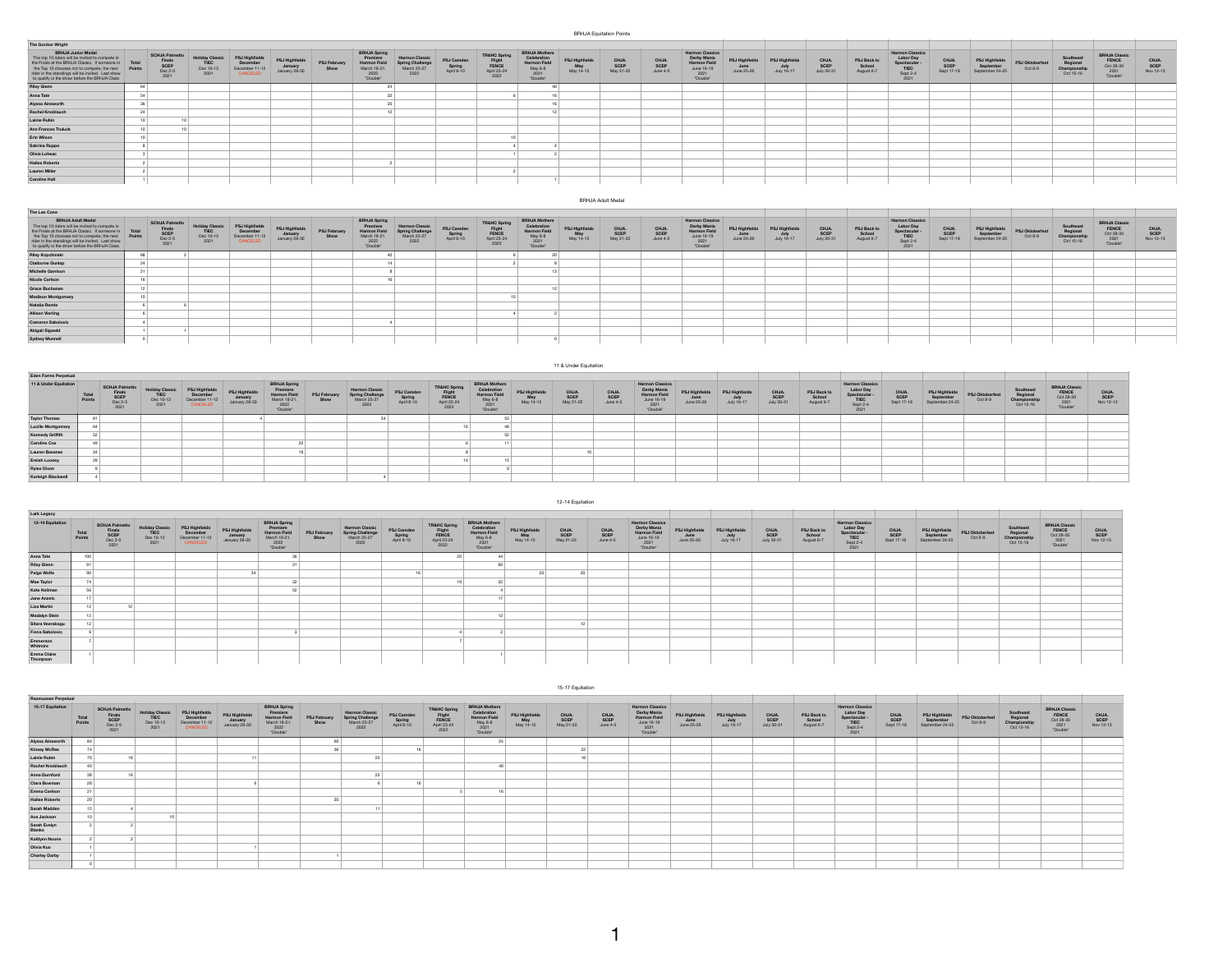BRHJA Equitation Points

| The Gordon Wright                                                                                                                                                                                                                                                                   |       |                                                            |                                             |                                                        |                                            |                             |                                                                                            |                                                                  |                                    |                                                                  |                                                                                                  |                                          |                            |                           |                                                                                         |                                            |                                      |                            |                                     |                                                                                |                             |                                                |                            |                                                    |                                                                |                            |
|-------------------------------------------------------------------------------------------------------------------------------------------------------------------------------------------------------------------------------------------------------------------------------------|-------|------------------------------------------------------------|---------------------------------------------|--------------------------------------------------------|--------------------------------------------|-----------------------------|--------------------------------------------------------------------------------------------|------------------------------------------------------------------|------------------------------------|------------------------------------------------------------------|--------------------------------------------------------------------------------------------------|------------------------------------------|----------------------------|---------------------------|-----------------------------------------------------------------------------------------|--------------------------------------------|--------------------------------------|----------------------------|-------------------------------------|--------------------------------------------------------------------------------|-----------------------------|------------------------------------------------|----------------------------|----------------------------------------------------|----------------------------------------------------------------|----------------------------|
| <b>BRHJA Junior Medal</b><br>The top 10 riders will be invited to compete in<br>the Finals at the BRHJA Classic. If someone in<br>the Top 10 chooses not to compete, the next<br>rider in the standings will be invited. Last show<br>to qualify is the show before the BRHJA Class | Total | <b>SCHJA Palmetto</b><br>Finals<br>SCEP<br>Dec 2-5<br>2021 | <b>Holiday Classic</b><br>TIEC<br>Dec 10-13 | PSJ Highfield<br>December<br>December 11-12<br>CANCELE | PSJ Highfields<br>January<br>January 28-30 | <b>PSJ February</b><br>Show | <b>BRHJA Spring</b><br>Premiere<br><b>Harmon Field</b><br>March 18-21.<br>2022<br>"Double" | <b>Harmon Classiv</b><br>Spring Challenge<br>March 25-27<br>2022 | PSJ Camden<br>Spring<br>April 8-10 | <b>TR&amp;HC Sprin</b><br>Flight<br>FENCE<br>April 23-24<br>2022 | <b>BRHJA Mothers</b><br><b>Celebration</b><br><b>Harmon Field</b><br>May 6-8<br>2021<br>"Double" | <b>PSJ Highfield</b><br>May<br>May 14-15 | CHJA.<br>SCEP<br>May 21-22 | CHJA.<br>SCEP<br>June 4-5 | <b>Harmon Classics</b><br>Derby Mania<br>Harmon Field<br>June 16-19<br>2021<br>"Double" | <b>PSJ Highfield</b><br>June<br>June 25-26 | PSJ Highfields<br>July<br>July 16-17 | CHJA<br>SCEP<br>July 30-31 | PSJ Back to<br>School<br>August 6-7 | <b>Harmon Classics</b><br>Labor Day<br>Spectacular<br>TIEC<br>Sept 2-4<br>2021 | CHJA.<br>SCEP<br>Sept 17-18 | PSJ Highfields<br>September<br>September 24-25 | PSJ Oktoberfest<br>Oct 8-9 | Southeast<br>Regional<br>Championship<br>Oct 15-16 | <b>BRHJA Classic</b><br>FENCE<br>Oct 28-30<br>2021<br>"Double" | CHJA.<br>SCEP<br>Nov 12-13 |
| <b>Riley Glenn</b>                                                                                                                                                                                                                                                                  | 64    |                                                            |                                             |                                                        |                                            |                             |                                                                                            |                                                                  |                                    |                                                                  |                                                                                                  |                                          |                            |                           |                                                                                         |                                            |                                      |                            |                                     |                                                                                |                             |                                                |                            |                                                    |                                                                |                            |
| Anna Tate                                                                                                                                                                                                                                                                           |       |                                                            |                                             |                                                        |                                            |                             |                                                                                            |                                                                  |                                    |                                                                  |                                                                                                  |                                          |                            |                           |                                                                                         |                                            |                                      |                            |                                     |                                                                                |                             |                                                |                            |                                                    |                                                                |                            |
| Alyssa Ainsworth                                                                                                                                                                                                                                                                    |       |                                                            |                                             |                                                        |                                            |                             |                                                                                            |                                                                  |                                    |                                                                  |                                                                                                  |                                          |                            |                           |                                                                                         |                                            |                                      |                            |                                     |                                                                                |                             |                                                |                            |                                                    |                                                                |                            |
| Rachel Knoblauch                                                                                                                                                                                                                                                                    | 24    |                                                            |                                             |                                                        |                                            |                             |                                                                                            |                                                                  |                                    |                                                                  |                                                                                                  |                                          |                            |                           |                                                                                         |                                            |                                      |                            |                                     |                                                                                |                             |                                                |                            |                                                    |                                                                |                            |
| Lainie Rubin                                                                                                                                                                                                                                                                        |       |                                                            |                                             |                                                        |                                            |                             |                                                                                            |                                                                  |                                    |                                                                  |                                                                                                  |                                          |                            |                           |                                                                                         |                                            |                                      |                            |                                     |                                                                                |                             |                                                |                            |                                                    |                                                                |                            |
| Ann Frances Truluck                                                                                                                                                                                                                                                                 |       |                                                            |                                             |                                                        |                                            |                             |                                                                                            |                                                                  |                                    |                                                                  |                                                                                                  |                                          |                            |                           |                                                                                         |                                            |                                      |                            |                                     |                                                                                |                             |                                                |                            |                                                    |                                                                |                            |
| Erin Wilson                                                                                                                                                                                                                                                                         |       |                                                            |                                             |                                                        |                                            |                             |                                                                                            |                                                                  |                                    |                                                                  |                                                                                                  |                                          |                            |                           |                                                                                         |                                            |                                      |                            |                                     |                                                                                |                             |                                                |                            |                                                    |                                                                |                            |
| Sabrina Ruppe                                                                                                                                                                                                                                                                       |       |                                                            |                                             |                                                        |                                            |                             |                                                                                            |                                                                  |                                    |                                                                  |                                                                                                  |                                          |                            |                           |                                                                                         |                                            |                                      |                            |                                     |                                                                                |                             |                                                |                            |                                                    |                                                                |                            |
| Olivia Loheac                                                                                                                                                                                                                                                                       |       |                                                            |                                             |                                                        |                                            |                             |                                                                                            |                                                                  |                                    |                                                                  |                                                                                                  |                                          |                            |                           |                                                                                         |                                            |                                      |                            |                                     |                                                                                |                             |                                                |                            |                                                    |                                                                |                            |
| <b>Hailee Roberts</b>                                                                                                                                                                                                                                                               |       |                                                            |                                             |                                                        |                                            |                             |                                                                                            |                                                                  |                                    |                                                                  |                                                                                                  |                                          |                            |                           |                                                                                         |                                            |                                      |                            |                                     |                                                                                |                             |                                                |                            |                                                    |                                                                |                            |
| <b>Lauren Miller</b>                                                                                                                                                                                                                                                                |       |                                                            |                                             |                                                        |                                            |                             |                                                                                            |                                                                  |                                    |                                                                  |                                                                                                  |                                          |                            |                           |                                                                                         |                                            |                                      |                            |                                     |                                                                                |                             |                                                |                            |                                                    |                                                                |                            |
| <b>Caroline Hall</b>                                                                                                                                                                                                                                                                |       |                                                            |                                             |                                                        |                                            |                             |                                                                                            |                                                                  |                                    |                                                                  |                                                                                                  |                                          |                            |                           |                                                                                         |                                            |                                      |                            |                                     |                                                                                |                             |                                                |                            |                                                    |                                                                |                            |

|                                                                                                                                                                                                                                                                                    |    |                                                            |                                                     |                                                          |                                           |                      |                                                                                     |                                                          |                                    |                                                        |                                                                                   |                                           | BRHJA Adult Medal          |                           |                                                                                         |                                            |                                      |                            |                                     |                                                                              |                             |                                                |                            |                                                    |                                                                 |                            |
|------------------------------------------------------------------------------------------------------------------------------------------------------------------------------------------------------------------------------------------------------------------------------------|----|------------------------------------------------------------|-----------------------------------------------------|----------------------------------------------------------|-------------------------------------------|----------------------|-------------------------------------------------------------------------------------|----------------------------------------------------------|------------------------------------|--------------------------------------------------------|-----------------------------------------------------------------------------------|-------------------------------------------|----------------------------|---------------------------|-----------------------------------------------------------------------------------------|--------------------------------------------|--------------------------------------|----------------------------|-------------------------------------|------------------------------------------------------------------------------|-----------------------------|------------------------------------------------|----------------------------|----------------------------------------------------|-----------------------------------------------------------------|----------------------------|
| The Lee Cone                                                                                                                                                                                                                                                                       |    |                                                            |                                                     |                                                          |                                           |                      |                                                                                     |                                                          |                                    |                                                        |                                                                                   |                                           |                            |                           |                                                                                         |                                            |                                      |                            |                                     |                                                                              |                             |                                                |                            |                                                    |                                                                 |                            |
| <b>BRHJA Adult Medal</b><br>The top 10 riders will be invited to compete in<br>the Finals at the BRHJA Classic. If someone in<br>the Top 10 chooses not to compete, the next<br>rider in the standings will be invited. Last show<br>to qualify is the show before the BRHJA Class |    | <b>SCHJA Palmetto</b><br>Finals<br>SCEP<br>Dec 2-5<br>2021 | <b>Holiday Classic</b><br>TIEC<br>Dec 10-13<br>2021 | PSJ Highfields<br>December<br>December 11-12<br>CANCELED | PSJ Highfield<br>January<br>January 28-30 | PSJ February<br>Show | <b>BRHJA Spring</b><br>Premiere<br>Harmon Field<br>March 18-21.<br>2022<br>"Double" | <b>Harmon</b><br>Spring Challenge<br>March 25-27<br>2022 | PSJ Camden<br>Spring<br>April 8-10 | TR&HC Spring<br>Flight<br>FENCE<br>April 23-24<br>2022 | <b>BRHJA Mothers</b><br>Celebratio<br>Harmon Field<br>May 6-8<br>2021<br>"Double" | <b>PSJ Highfields</b><br>May<br>May 14-15 | CHJA.<br>SCEP<br>May 21-22 | CHJA.<br>SCEP<br>June 4-5 | <b>Harmon Classics</b><br>Derby Mania<br>Harmon Field<br>June 16-19<br>2021<br>"Double" | <b>PSJ Highfield</b><br>June<br>June 25-26 | PSJ Highfields<br>July<br>July 16-17 | CHJA<br>SCEP<br>July 30-31 | PSJ Back to<br>School<br>August 6-7 | <b>Harmon Classics</b><br>Labor D<br>Spectacular<br>TIEC<br>Sept 2-4<br>2021 | CHJA.<br>SCEP<br>Sept 17-18 | PSJ Highfields<br>September<br>September 24-25 | PSJ Oktoberfest<br>Oct 8-9 | Southeast<br>Regional<br>Championship<br>Oct 15-16 | <b>BRHJA Classic<br/>FENCE</b><br>Oct 28-30<br>2021<br>"Double" | CHJA.<br>SCEP<br>Nov 12-13 |
| <b>Riley Kopchinski</b>                                                                                                                                                                                                                                                            |    |                                                            |                                                     |                                                          |                                           |                      |                                                                                     |                                                          |                                    |                                                        |                                                                                   |                                           |                            |                           |                                                                                         |                                            |                                      |                            |                                     |                                                                              |                             |                                                |                            |                                                    |                                                                 |                            |
| <b>Claiborne Dunlap</b>                                                                                                                                                                                                                                                            | 24 |                                                            |                                                     |                                                          |                                           |                      |                                                                                     |                                                          |                                    |                                                        |                                                                                   |                                           |                            |                           |                                                                                         |                                            |                                      |                            |                                     |                                                                              |                             |                                                |                            |                                                    |                                                                 |                            |
| <b>Michelle Garrison</b>                                                                                                                                                                                                                                                           |    |                                                            |                                                     |                                                          |                                           |                      |                                                                                     |                                                          |                                    |                                                        |                                                                                   |                                           |                            |                           |                                                                                         |                                            |                                      |                            |                                     |                                                                              |                             |                                                |                            |                                                    |                                                                 |                            |
| Nicole Carlson                                                                                                                                                                                                                                                                     |    |                                                            |                                                     |                                                          |                                           |                      |                                                                                     |                                                          |                                    |                                                        |                                                                                   |                                           |                            |                           |                                                                                         |                                            |                                      |                            |                                     |                                                                              |                             |                                                |                            |                                                    |                                                                 |                            |
| Grace Buchanan                                                                                                                                                                                                                                                                     |    |                                                            |                                                     |                                                          |                                           |                      |                                                                                     |                                                          |                                    |                                                        |                                                                                   |                                           |                            |                           |                                                                                         |                                            |                                      |                            |                                     |                                                                              |                             |                                                |                            |                                                    |                                                                 |                            |
| <b>Madison Montgomery</b>                                                                                                                                                                                                                                                          |    |                                                            |                                                     |                                                          |                                           |                      |                                                                                     |                                                          |                                    |                                                        |                                                                                   |                                           |                            |                           |                                                                                         |                                            |                                      |                            |                                     |                                                                              |                             |                                                |                            |                                                    |                                                                 |                            |
| Natalia Remle                                                                                                                                                                                                                                                                      |    |                                                            |                                                     |                                                          |                                           |                      |                                                                                     |                                                          |                                    |                                                        |                                                                                   |                                           |                            |                           |                                                                                         |                                            |                                      |                            |                                     |                                                                              |                             |                                                |                            |                                                    |                                                                 |                            |
| <b>Allison Vierling</b>                                                                                                                                                                                                                                                            |    |                                                            |                                                     |                                                          |                                           |                      |                                                                                     |                                                          |                                    |                                                        |                                                                                   |                                           |                            |                           |                                                                                         |                                            |                                      |                            |                                     |                                                                              |                             |                                                |                            |                                                    |                                                                 |                            |
| Cameron Sabolovic                                                                                                                                                                                                                                                                  |    |                                                            |                                                     |                                                          |                                           |                      |                                                                                     |                                                          |                                    |                                                        |                                                                                   |                                           |                            |                           |                                                                                         |                                            |                                      |                            |                                     |                                                                              |                             |                                                |                            |                                                    |                                                                 |                            |
| Abigail Sigwald                                                                                                                                                                                                                                                                    |    |                                                            |                                                     |                                                          |                                           |                      |                                                                                     |                                                          |                                    |                                                        |                                                                                   |                                           |                            |                           |                                                                                         |                                            |                                      |                            |                                     |                                                                              |                             |                                                |                            |                                                    |                                                                 |                            |
| <b>Sydney Munnell</b>                                                                                                                                                                                                                                                              |    |                                                            |                                                     |                                                          |                                           |                      |                                                                                     |                                                          |                                    |                                                        |                                                                                   |                                           |                            |                           |                                                                                         |                                            |                                      |                            |                                     |                                                                              |                             |                                                |                            |                                                    |                                                                 |                            |

|                           |                 |                                                            |                          |                                                          |                                            |                                                                                     |                      |                                                                |                                    |                                                                  |                                                                                  |                                          | 11 & Under Equitation      |                           |                                                                                         |                                      |                                            |                             |                                     |                                                                           |                             |                                                |                            |                                                  |                                                         |                            |
|---------------------------|-----------------|------------------------------------------------------------|--------------------------|----------------------------------------------------------|--------------------------------------------|-------------------------------------------------------------------------------------|----------------------|----------------------------------------------------------------|------------------------------------|------------------------------------------------------------------|----------------------------------------------------------------------------------|------------------------------------------|----------------------------|---------------------------|-----------------------------------------------------------------------------------------|--------------------------------------|--------------------------------------------|-----------------------------|-------------------------------------|---------------------------------------------------------------------------|-----------------------------|------------------------------------------------|----------------------------|--------------------------------------------------|---------------------------------------------------------|----------------------------|
| Eden Farms Perpetual      |                 |                                                            |                          |                                                          |                                            |                                                                                     |                      |                                                                |                                    |                                                                  |                                                                                  |                                          |                            |                           |                                                                                         |                                      |                                            |                             |                                     |                                                                           |                             |                                                |                            |                                                  |                                                         |                            |
| 11 & Under Equitation     | Total<br>Points | <b>SCHJA Palmetto</b><br>Finals<br>SCEP<br>Dec 2-5<br>2021 | <b>TIEC</b><br>Dec 10-13 | PSJ Highfield:<br>December<br>December 11-12<br>CANCELED | PSJ Highfields<br>January<br>January 28-30 | <b>BRHJA Spring</b><br>Premiere<br>Harmon Field<br>March 18-21.<br>2022<br>"Double" | PSJ February<br>Show | <b>Harmon Classi</b><br>Spring Challeng<br>March 25-27<br>2022 | PSJ Camden<br>Spring<br>April 8-10 | <b>TR&amp;HC Sprin</b><br>Flight<br>FENCE<br>April 23-24<br>2022 | <b>BRHJA Mothers</b><br>Celebrati<br>Harmon Field<br>May 6-8<br>2021<br>"Double" | <b>PSJ Highfield</b><br>May<br>May 14-15 | CHJA.<br>SCEP<br>May 21-22 | CHJA.<br>SCEP<br>June 4-5 | <b>Harmon Classics</b><br>Derby Mania<br>Harmon Field<br>June 16-19<br>2021<br>"Double" | PSJ Highfields<br>June<br>June 25-26 | <b>PSJ Highfield</b><br>July<br>July 16-17 | CHJA.<br>SCEP<br>July 30-31 | PSJ Back to<br>School<br>August 6-7 | Harmon Classics<br>Labor Day<br>Spectacular -<br>TIEC<br>Sept 2-4<br>2021 | CHJA.<br>SCEP<br>Sept 17-18 | PSJ Highfields<br>September<br>September 24-25 | PSJ Oktoberfest<br>Oct 8-9 | Southeas<br>Regional<br>Championshi<br>Oct 15-16 | BRHJA Classic<br>FENCE<br>Oct 28-30<br>2021<br>TDouble" | CHJA.<br>SCEP<br>Nov 12-13 |
| <b>Taylor Thomas</b>      |                 |                                                            |                          |                                                          |                                            |                                                                                     |                      |                                                                |                                    |                                                                  |                                                                                  |                                          |                            |                           |                                                                                         |                                      |                                            |                             |                                     |                                                                           |                             |                                                |                            |                                                  |                                                         |                            |
| <b>Lucille Montgomery</b> |                 |                                                            |                          |                                                          |                                            |                                                                                     |                      |                                                                |                                    |                                                                  |                                                                                  |                                          |                            |                           |                                                                                         |                                      |                                            |                             |                                     |                                                                           |                             |                                                |                            |                                                  |                                                         |                            |
| <b>Kennedy Griffith</b>   |                 |                                                            |                          |                                                          |                                            |                                                                                     |                      |                                                                |                                    |                                                                  |                                                                                  |                                          |                            |                           |                                                                                         |                                      |                                            |                             |                                     |                                                                           |                             |                                                |                            |                                                  |                                                         |                            |
| <b>Caroline Cox</b>       |                 |                                                            |                          |                                                          |                                            |                                                                                     |                      |                                                                |                                    |                                                                  |                                                                                  |                                          |                            |                           |                                                                                         |                                      |                                            |                             |                                     |                                                                           |                             |                                                |                            |                                                  |                                                         |                            |
| Lauren Basanez            |                 |                                                            |                          |                                                          |                                            |                                                                                     |                      |                                                                |                                    |                                                                  |                                                                                  |                                          |                            |                           |                                                                                         |                                      |                                            |                             |                                     |                                                                           |                             |                                                |                            |                                                  |                                                         |                            |
| Erelah Looney             |                 |                                                            |                          |                                                          |                                            |                                                                                     |                      |                                                                |                                    |                                                                  |                                                                                  |                                          |                            |                           |                                                                                         |                                      |                                            |                             |                                     |                                                                           |                             |                                                |                            |                                                  |                                                         |                            |
| <b>Rylee Dixon</b>        |                 |                                                            |                          |                                                          |                                            |                                                                                     |                      |                                                                |                                    |                                                                  |                                                                                  |                                          |                            |                           |                                                                                         |                                      |                                            |                             |                                     |                                                                           |                             |                                                |                            |                                                  |                                                         |                            |
| Karleigh Blackwell        |                 |                                                            |                          |                                                          |                                            |                                                                                     |                      |                                                                |                                    |                                                                  |                                                                                  |                                          |                            |                           |                                                                                         |                                      |                                            |                             |                                     |                                                                           |                             |                                                |                            |                                                  |                                                         |                            |

|                         |                 |                                                            |                                             |                                                          |                                            |                                                                                            |                      |                                                                  |                                    |                                                                   |                                                                                                                                           |                                      | 12-14 Equitable            |                           |                                                                                  |                                     |                                             |                             |                                     |                                                                                |                             |                                                |                                   |                                                    |                                                         |                            |
|-------------------------|-----------------|------------------------------------------------------------|---------------------------------------------|----------------------------------------------------------|--------------------------------------------|--------------------------------------------------------------------------------------------|----------------------|------------------------------------------------------------------|------------------------------------|-------------------------------------------------------------------|-------------------------------------------------------------------------------------------------------------------------------------------|--------------------------------------|----------------------------|---------------------------|----------------------------------------------------------------------------------|-------------------------------------|---------------------------------------------|-----------------------------|-------------------------------------|--------------------------------------------------------------------------------|-----------------------------|------------------------------------------------|-----------------------------------|----------------------------------------------------|---------------------------------------------------------|----------------------------|
| <b>Lark Legacy</b>      |                 |                                                            |                                             |                                                          |                                            |                                                                                            |                      |                                                                  |                                    |                                                                   |                                                                                                                                           |                                      |                            |                           |                                                                                  |                                     |                                             |                             |                                     |                                                                                |                             |                                                |                                   |                                                    |                                                         |                            |
| 12-14 Equitation        | Total<br>Points | <b>SCHJA Palmetto</b><br>Finals<br>SCEP<br>Dec 2-5<br>2021 | <b>Holiday Classic</b><br>TIEC<br>Dec 10-13 | PSJ Highfield:<br>December<br>December 11-12<br>CANCELED | PSJ Highfield:<br>January<br>January 28-30 | <b>BRHJA Spring</b><br>Premiere<br><b>Harmon Field</b><br>March 18-21.<br>2022<br>"Double" | PSJ February<br>Show | <b>Harmon Classic</b><br>Spring Challenge<br>March 25-27<br>2022 | PSJ Camden<br>Spring<br>April 8-10 | <b>TR&amp;HC Spring</b><br>Flight<br>FENCE<br>April 23-24<br>2022 | <b>BRHJA Mothers</b><br>Celebration<br><b>Harmon Field</b><br>$\begin{array}{r}\n\text{May } 6.8 \\ 2021 \\ \text{`Double'}\n\end{array}$ | PSJ Highfields<br>May<br>$May$ 14-15 | CHJA.<br>SCEP<br>May 21-22 | CHJA.<br>SCEP<br>June 4-5 | Harmon Classics<br>Derby Mania<br>Harmon Field<br>June 16-19<br>2021<br>"Double" | PSJ Highfield<br>June<br>June 25-26 | <b>PSJ Highfields</b><br>July<br>July 16-17 | CHJA.<br>SCEP<br>July 30-31 | PSJ Back to<br>School<br>August 6-7 | <b>Harmon Classics</b><br>Labor Day<br>Spectacular<br>TIEC<br>Sept 2-4<br>2021 | CHJA.<br>SCEP<br>Sept 17-18 | PSJ Highfields<br>September<br>September 24-25 | <b>PSJ Oktoberfest</b><br>Oct 8-9 | Southeast<br>Regional<br>Championship<br>Oct 15-16 | BRHJA Classic<br>FENCE<br>Oct 28-30<br>2021<br>TDouble' | CHJA.<br>SCEP<br>Nov 12-13 |
| Anna Tate               | 100             |                                                            |                                             |                                                          |                                            |                                                                                            |                      |                                                                  |                                    |                                                                   |                                                                                                                                           |                                      |                            |                           |                                                                                  |                                     |                                             |                             |                                     |                                                                                |                             |                                                |                                   |                                                    |                                                         |                            |
| <b>Riley Glenn</b>      |                 |                                                            |                                             |                                                          |                                            |                                                                                            |                      |                                                                  |                                    |                                                                   |                                                                                                                                           |                                      |                            |                           |                                                                                  |                                     |                                             |                             |                                     |                                                                                |                             |                                                |                                   |                                                    |                                                         |                            |
| Paige Wolfe             |                 |                                                            |                                             |                                                          |                                            |                                                                                            |                      |                                                                  |                                    |                                                                   |                                                                                                                                           |                                      |                            |                           |                                                                                  |                                     |                                             |                             |                                     |                                                                                |                             |                                                |                                   |                                                    |                                                         |                            |
| <b>Mae Taylor</b>       |                 |                                                            |                                             |                                                          |                                            |                                                                                            |                      |                                                                  |                                    |                                                                   |                                                                                                                                           |                                      |                            |                           |                                                                                  |                                     |                                             |                             |                                     |                                                                                |                             |                                                |                                   |                                                    |                                                         |                            |
| Kate Keilman            |                 |                                                            |                                             |                                                          |                                            |                                                                                            |                      |                                                                  |                                    |                                                                   |                                                                                                                                           |                                      |                            |                           |                                                                                  |                                     |                                             |                             |                                     |                                                                                |                             |                                                |                                   |                                                    |                                                         |                            |
| Jane Anzelo             |                 |                                                            |                                             |                                                          |                                            |                                                                                            |                      |                                                                  |                                    |                                                                   |                                                                                                                                           |                                      |                            |                           |                                                                                  |                                     |                                             |                             |                                     |                                                                                |                             |                                                |                                   |                                                    |                                                         |                            |
| <b>Liza Martin</b>      |                 |                                                            |                                             |                                                          |                                            |                                                                                            |                      |                                                                  |                                    |                                                                   |                                                                                                                                           |                                      |                            |                           |                                                                                  |                                     |                                             |                             |                                     |                                                                                |                             |                                                |                                   |                                                    |                                                         |                            |
| Madalyn Stein           |                 |                                                            |                                             |                                                          |                                            |                                                                                            |                      |                                                                  |                                    |                                                                   |                                                                                                                                           |                                      |                            |                           |                                                                                  |                                     |                                             |                             |                                     |                                                                                |                             |                                                |                                   |                                                    |                                                         |                            |
| Sitara Veerabagu        |                 |                                                            |                                             |                                                          |                                            |                                                                                            |                      |                                                                  |                                    |                                                                   |                                                                                                                                           |                                      |                            |                           |                                                                                  |                                     |                                             |                             |                                     |                                                                                |                             |                                                |                                   |                                                    |                                                         |                            |
| Fiona Sabolovic         |                 |                                                            |                                             |                                                          |                                            |                                                                                            |                      |                                                                  |                                    |                                                                   |                                                                                                                                           |                                      |                            |                           |                                                                                  |                                     |                                             |                             |                                     |                                                                                |                             |                                                |                                   |                                                    |                                                         |                            |
| Emmerson<br>Whitmire    |                 |                                                            |                                             |                                                          |                                            |                                                                                            |                      |                                                                  |                                    |                                                                   |                                                                                                                                           |                                      |                            |                           |                                                                                  |                                     |                                             |                             |                                     |                                                                                |                             |                                                |                                   |                                                    |                                                         |                            |
| Emma Claire<br>Thompson |                 |                                                            |                                             |                                                          |                                            |                                                                                            |                      |                                                                  |                                    |                                                                   |                                                                                                                                           |                                      |                            |                           |                                                                                  |                                     |                                             |                             |                                     |                                                                                |                             |                                                |                                   |                                                    |                                                         |                            |

|                            |                 |                                                            |                                                     |                                                          |                                            |                                                                                            |                      |                                                                 |                                    |                                                        |                                                                             |                                     | 15-17 Equitation           |                           |                                                                                         |                                     |                                            |                             |                                     |                                                                                |                             |                                                |                                   |                                                    |                                                         |                            |
|----------------------------|-----------------|------------------------------------------------------------|-----------------------------------------------------|----------------------------------------------------------|--------------------------------------------|--------------------------------------------------------------------------------------------|----------------------|-----------------------------------------------------------------|------------------------------------|--------------------------------------------------------|-----------------------------------------------------------------------------|-------------------------------------|----------------------------|---------------------------|-----------------------------------------------------------------------------------------|-------------------------------------|--------------------------------------------|-----------------------------|-------------------------------------|--------------------------------------------------------------------------------|-----------------------------|------------------------------------------------|-----------------------------------|----------------------------------------------------|---------------------------------------------------------|----------------------------|
| <b>Rasmussen Perpetual</b> |                 |                                                            |                                                     |                                                          |                                            |                                                                                            |                      |                                                                 |                                    |                                                        |                                                                             |                                     |                            |                           |                                                                                         |                                     |                                            |                             |                                     |                                                                                |                             |                                                |                                   |                                                    |                                                         |                            |
| 15-17 Equitation           | Total<br>Points | <b>SCHJA Palmettr</b><br>Finals<br>SCEP<br>Dec 2-5<br>2021 | <b>Holiday Classic</b><br>TIEC<br>Dec 10-13<br>2021 | PSJ Highfields<br>December<br>December 11-12<br>CANCELED | PSJ Highfields<br>January<br>January 28-30 | <b>BRHJA Spring</b><br>Premiere<br><b>Harmon Field</b><br>March 18-21.<br>2022<br>"Double" | PSJ February<br>Show | <b>Harmon Classi</b><br>Spring Challenge<br>March 25-27<br>2022 | PSJ Camden<br>Spring<br>April 8-10 | TR&HC Spring<br>Flight<br>FENCE<br>April 23-24<br>2022 | BRHJA Mothers<br>Celebration<br>Harmon Field<br>May 6-8<br>2021<br>"Double" | PSJ Highfield<br>May<br>$May$ 14-15 | CHJA.<br>SCEP<br>May 21-22 | CHJA.<br>SCEP<br>June 4-5 | <b>Harmon Classics</b><br>Derby Mania<br>Harmon Field<br>June 16-19<br>2021<br>"Double" | PSJ Highfield<br>June<br>June 25-26 | <b>PSJ Highfield</b><br>July<br>July 16-17 | CHJA.<br>SCEP<br>July 30-31 | PSJ Back to<br>School<br>August 6-7 | <b>Harmon Classics</b><br>Labor Day<br>Spectacular<br>TIEC<br>Sept 2-4<br>2021 | CHJA.<br>SCEP<br>Sept 17-18 | PSJ Highfields<br>September<br>September 24-25 | <b>PSJ Oktoberfest</b><br>Oct 8-9 | Southeast<br>Regional<br>Championship<br>Oct 15-16 | BRHJA Classic<br>FENCE<br>Oct 28-30<br>2021<br>TDouble* | CHJA.<br>SCEP<br>Nov 12-13 |
| Alyssa Ainsworth           | 84              |                                                            |                                                     |                                                          |                                            |                                                                                            |                      |                                                                 |                                    |                                                        |                                                                             |                                     |                            |                           |                                                                                         |                                     |                                            |                             |                                     |                                                                                |                             |                                                |                                   |                                                    |                                                         |                            |
| Kinsey McRee               |                 |                                                            |                                                     |                                                          |                                            |                                                                                            |                      |                                                                 |                                    |                                                        |                                                                             |                                     |                            |                           |                                                                                         |                                     |                                            |                             |                                     |                                                                                |                             |                                                |                                   |                                                    |                                                         |                            |
| Lainie Rubin               |                 |                                                            |                                                     |                                                          |                                            |                                                                                            |                      |                                                                 |                                    |                                                        |                                                                             |                                     |                            |                           |                                                                                         |                                     |                                            |                             |                                     |                                                                                |                             |                                                |                                   |                                                    |                                                         |                            |
| <b>Rachel Knoblauch</b>    |                 |                                                            |                                                     |                                                          |                                            |                                                                                            |                      |                                                                 |                                    |                                                        |                                                                             |                                     |                            |                           |                                                                                         |                                     |                                            |                             |                                     |                                                                                |                             |                                                |                                   |                                                    |                                                         |                            |
| Anna Durnford              | 38              |                                                            |                                                     |                                                          |                                            |                                                                                            |                      |                                                                 |                                    |                                                        |                                                                             |                                     |                            |                           |                                                                                         |                                     |                                            |                             |                                     |                                                                                |                             |                                                |                                   |                                                    |                                                         |                            |
| Clara Bowman               | 28              |                                                            |                                                     |                                                          |                                            |                                                                                            |                      |                                                                 |                                    |                                                        |                                                                             |                                     |                            |                           |                                                                                         |                                     |                                            |                             |                                     |                                                                                |                             |                                                |                                   |                                                    |                                                         |                            |
| Emma Carlson               | 21              |                                                            |                                                     |                                                          |                                            |                                                                                            |                      |                                                                 |                                    |                                                        |                                                                             |                                     |                            |                           |                                                                                         |                                     |                                            |                             |                                     |                                                                                |                             |                                                |                                   |                                                    |                                                         |                            |
| <b>Hailee Roberts</b>      | 20              |                                                            |                                                     |                                                          |                                            |                                                                                            |                      |                                                                 |                                    |                                                        |                                                                             |                                     |                            |                           |                                                                                         |                                     |                                            |                             |                                     |                                                                                |                             |                                                |                                   |                                                    |                                                         |                            |
| Sarah Madden               | 10              |                                                            |                                                     |                                                          |                                            |                                                                                            |                      |                                                                 |                                    |                                                        |                                                                             |                                     |                            |                           |                                                                                         |                                     |                                            |                             |                                     |                                                                                |                             |                                                |                                   |                                                    |                                                         |                            |
| Ava Jackson                | 10              |                                                            |                                                     |                                                          |                                            |                                                                                            |                      |                                                                 |                                    |                                                        |                                                                             |                                     |                            |                           |                                                                                         |                                     |                                            |                             |                                     |                                                                                |                             |                                                |                                   |                                                    |                                                         |                            |
| Sarah Evelyn<br>Blanks     |                 |                                                            |                                                     |                                                          |                                            |                                                                                            |                      |                                                                 |                                    |                                                        |                                                                             |                                     |                            |                           |                                                                                         |                                     |                                            |                             |                                     |                                                                                |                             |                                                |                                   |                                                    |                                                         |                            |
| <b>Kaitiynn Noone</b>      |                 |                                                            |                                                     |                                                          |                                            |                                                                                            |                      |                                                                 |                                    |                                                        |                                                                             |                                     |                            |                           |                                                                                         |                                     |                                            |                             |                                     |                                                                                |                             |                                                |                                   |                                                    |                                                         |                            |
| Olivia Kuo                 |                 |                                                            |                                                     |                                                          |                                            |                                                                                            |                      |                                                                 |                                    |                                                        |                                                                             |                                     |                            |                           |                                                                                         |                                     |                                            |                             |                                     |                                                                                |                             |                                                |                                   |                                                    |                                                         |                            |
| <b>Charley Darby</b>       |                 |                                                            |                                                     |                                                          |                                            |                                                                                            |                      |                                                                 |                                    |                                                        |                                                                             |                                     |                            |                           |                                                                                         |                                     |                                            |                             |                                     |                                                                                |                             |                                                |                                   |                                                    |                                                         |                            |
|                            |                 |                                                            |                                                     |                                                          |                                            |                                                                                            |                      |                                                                 |                                    |                                                        |                                                                             |                                     |                            |                           |                                                                                         |                                     |                                            |                             |                                     |                                                                                |                             |                                                |                                   |                                                    |                                                         |                            |

12-14 Equitation

1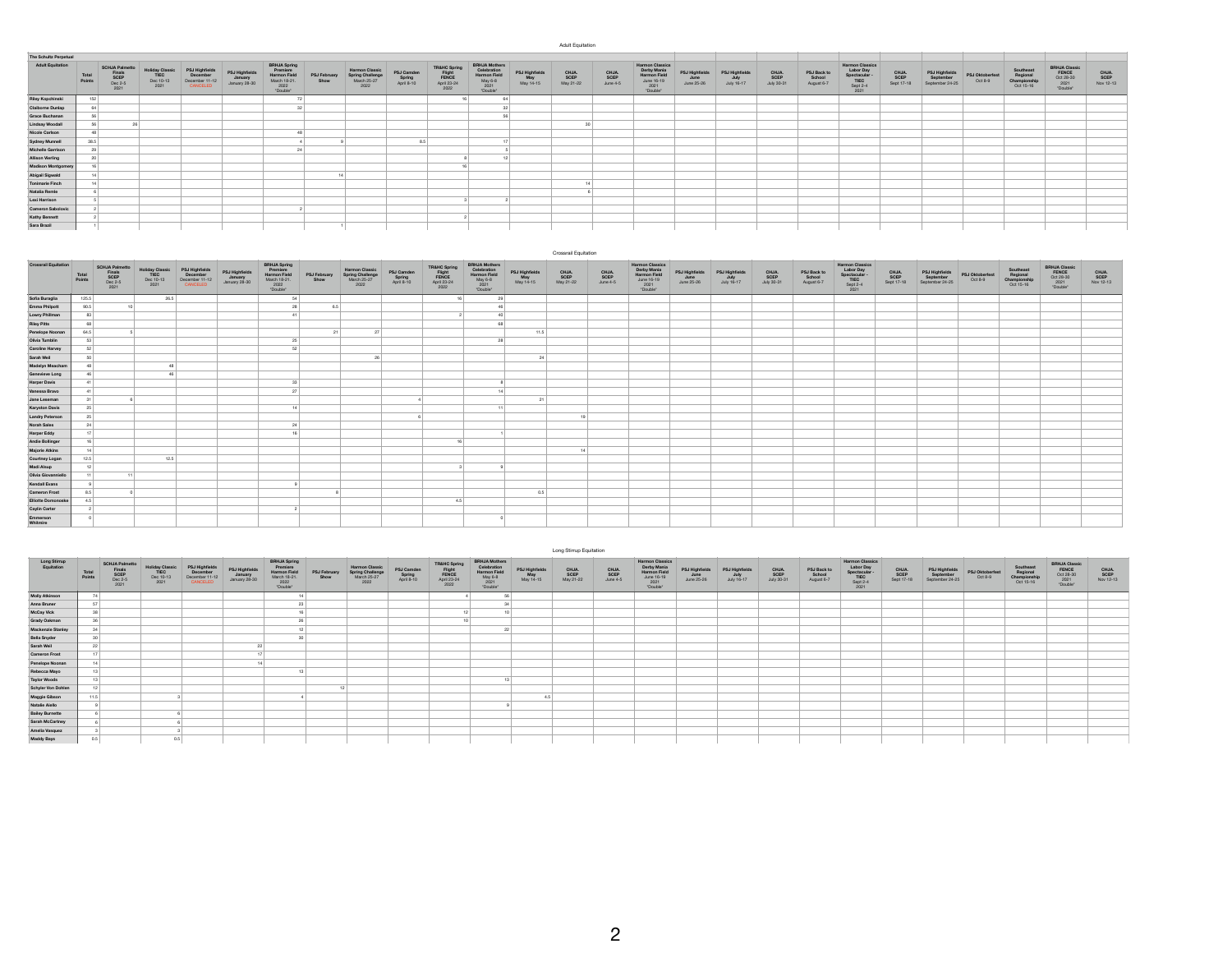| Adult Equitation |  |  |  |
|------------------|--|--|--|
|------------------|--|--|--|

| The Schultz Perpetual     |                 |                                                            |                                              |                                                          |                                            |                                                                                            |                      |                                                           |                                    |                                                                   |                                                                                          |                                    |                            |                          |                                                                                         |                                      |                                      |                             |                                     |                                                                                |                             |                                                |                            |                                                    |                                                         |                            |
|---------------------------|-----------------|------------------------------------------------------------|----------------------------------------------|----------------------------------------------------------|--------------------------------------------|--------------------------------------------------------------------------------------------|----------------------|-----------------------------------------------------------|------------------------------------|-------------------------------------------------------------------|------------------------------------------------------------------------------------------|------------------------------------|----------------------------|--------------------------|-----------------------------------------------------------------------------------------|--------------------------------------|--------------------------------------|-----------------------------|-------------------------------------|--------------------------------------------------------------------------------|-----------------------------|------------------------------------------------|----------------------------|----------------------------------------------------|---------------------------------------------------------|----------------------------|
| <b>Adult Equitation</b>   | Total<br>Points | <b>SCHJA Palmetto</b><br>Finals<br>SCEP<br>Dec 2-5<br>2021 | <b>Holiday Classic<br/>TIEC</b><br>Dec 10-13 | PSJ Highfields<br>December<br>December 11-12<br>CANCELED | PSJ Highfields<br>January<br>January 28-30 | <b>BRHJA Spring</b><br>Premiere<br><b>Harmon Field</b><br>March 18-21.<br>2022<br>"Double" | PSJ February<br>Show | Harmon Classic<br>Spring Challenge<br>March 25-27<br>2022 | PSJ Camden<br>Spring<br>April 8-10 | <b>TR&amp;HC Spring</b><br>Flight<br>FENCE<br>April 23-24<br>2022 | <b>BRHJA Mothers</b><br>Celebratio<br><b>Harmon Field</b><br>May 6-8<br>2021<br>"Double" | PSJ Highfields<br>May<br>May 14-15 | CHJA.<br>SCEP<br>May 21-22 | CHJA<br>SCEP<br>June 4-5 | <b>Harmon Classics</b><br>Derby Mania<br>Harmon Field<br>June 16-19<br>2021<br>"Double" | PSJ Highfields<br>June<br>June 25-26 | PSJ Highfields<br>July<br>July 16-17 | CHJA.<br>SCEP<br>July 30-31 | PSJ Back to<br>School<br>August 6-7 | <b>Harmon Classics</b><br>Labor Day<br>Spectacular<br>TIEC<br>Sept 2-4<br>2021 | CHJA.<br>SCEP<br>Sept 17-18 | PSJ Highfields<br>September<br>September 24-25 | PSJ Oktoberfest<br>Oct 8-9 | Southeast<br>Regional<br>Championship<br>Oct 15-16 | BRHJA Classic<br>FENCE<br>Oct 28-30<br>2021<br>TDouble" | CHJA.<br>SCEP<br>Nov 12-13 |
| <b>Riley Kopchinski</b>   | 152             |                                                            |                                              |                                                          |                                            | 72                                                                                         |                      |                                                           |                                    |                                                                   | 64                                                                                       |                                    |                            |                          |                                                                                         |                                      |                                      |                             |                                     |                                                                                |                             |                                                |                            |                                                    |                                                         |                            |
| <b>Claiborne Dunlap</b>   | 64              |                                                            |                                              |                                                          |                                            |                                                                                            |                      |                                                           |                                    |                                                                   |                                                                                          |                                    |                            |                          |                                                                                         |                                      |                                      |                             |                                     |                                                                                |                             |                                                |                            |                                                    |                                                         |                            |
| Grace Buchanan            | 56              |                                                            |                                              |                                                          |                                            |                                                                                            |                      |                                                           |                                    |                                                                   |                                                                                          |                                    |                            |                          |                                                                                         |                                      |                                      |                             |                                     |                                                                                |                             |                                                |                            |                                                    |                                                         |                            |
| <b>Lindsay Woodall</b>    | 56              |                                                            |                                              |                                                          |                                            |                                                                                            |                      |                                                           |                                    |                                                                   |                                                                                          |                                    |                            |                          |                                                                                         |                                      |                                      |                             |                                     |                                                                                |                             |                                                |                            |                                                    |                                                         |                            |
| Nicole Carlson            | 48              |                                                            |                                              |                                                          |                                            |                                                                                            |                      |                                                           |                                    |                                                                   |                                                                                          |                                    |                            |                          |                                                                                         |                                      |                                      |                             |                                     |                                                                                |                             |                                                |                            |                                                    |                                                         |                            |
| <b>Sydney Munnell</b>     | 38.5            |                                                            |                                              |                                                          |                                            |                                                                                            |                      |                                                           |                                    |                                                                   |                                                                                          |                                    |                            |                          |                                                                                         |                                      |                                      |                             |                                     |                                                                                |                             |                                                |                            |                                                    |                                                         |                            |
| <b>Michelle Garrison</b>  | 29              |                                                            |                                              |                                                          |                                            |                                                                                            |                      |                                                           |                                    |                                                                   |                                                                                          |                                    |                            |                          |                                                                                         |                                      |                                      |                             |                                     |                                                                                |                             |                                                |                            |                                                    |                                                         |                            |
| <b>Allison Vierling</b>   | 20              |                                                            |                                              |                                                          |                                            |                                                                                            |                      |                                                           |                                    |                                                                   |                                                                                          |                                    |                            |                          |                                                                                         |                                      |                                      |                             |                                     |                                                                                |                             |                                                |                            |                                                    |                                                         |                            |
| <b>Madison Montgomery</b> |                 |                                                            |                                              |                                                          |                                            |                                                                                            |                      |                                                           |                                    |                                                                   |                                                                                          |                                    |                            |                          |                                                                                         |                                      |                                      |                             |                                     |                                                                                |                             |                                                |                            |                                                    |                                                         |                            |
| Abigail Sigwald           |                 |                                                            |                                              |                                                          |                                            |                                                                                            |                      |                                                           |                                    |                                                                   |                                                                                          |                                    |                            |                          |                                                                                         |                                      |                                      |                             |                                     |                                                                                |                             |                                                |                            |                                                    |                                                         |                            |
| <b>Tonimarie Finch</b>    | 7.6             |                                                            |                                              |                                                          |                                            |                                                                                            |                      |                                                           |                                    |                                                                   |                                                                                          |                                    |                            |                          |                                                                                         |                                      |                                      |                             |                                     |                                                                                |                             |                                                |                            |                                                    |                                                         |                            |
| Natalia Remle             |                 |                                                            |                                              |                                                          |                                            |                                                                                            |                      |                                                           |                                    |                                                                   |                                                                                          |                                    |                            |                          |                                                                                         |                                      |                                      |                             |                                     |                                                                                |                             |                                                |                            |                                                    |                                                         |                            |
| Lexi Harrison             |                 |                                                            |                                              |                                                          |                                            |                                                                                            |                      |                                                           |                                    |                                                                   |                                                                                          |                                    |                            |                          |                                                                                         |                                      |                                      |                             |                                     |                                                                                |                             |                                                |                            |                                                    |                                                         |                            |
| Cameron Sabolovic         |                 |                                                            |                                              |                                                          |                                            |                                                                                            |                      |                                                           |                                    |                                                                   |                                                                                          |                                    |                            |                          |                                                                                         |                                      |                                      |                             |                                     |                                                                                |                             |                                                |                            |                                                    |                                                         |                            |
| <b>Kathy Bennett</b>      |                 |                                                            |                                              |                                                          |                                            |                                                                                            |                      |                                                           |                                    |                                                                   |                                                                                          |                                    |                            |                          |                                                                                         |                                      |                                      |                             |                                     |                                                                                |                             |                                                |                            |                                                    |                                                         |                            |
| Sara Brazil               |                 |                                                            |                                              |                                                          |                                            |                                                                                            |                      |                                                           |                                    |                                                                   |                                                                                          |                                    |                            |                          |                                                                                         |                                      |                                      |                             |                                     |                                                                                |                             |                                                |                            |                                                    |                                                         |                            |

|                             |                 |                                                            |                                              |                                                          |                                            |                                                                                       |                      |                                                   |                                    |                                                        |                                                                                    |                                    | Crossrail Equitation       |                           |                                                                                         |                                      |                                      |                             |                                     |                                                                                                                                           |                             |                                                |                            |                                                    |                                                         |                            |
|-----------------------------|-----------------|------------------------------------------------------------|----------------------------------------------|----------------------------------------------------------|--------------------------------------------|---------------------------------------------------------------------------------------|----------------------|---------------------------------------------------|------------------------------------|--------------------------------------------------------|------------------------------------------------------------------------------------|------------------------------------|----------------------------|---------------------------|-----------------------------------------------------------------------------------------|--------------------------------------|--------------------------------------|-----------------------------|-------------------------------------|-------------------------------------------------------------------------------------------------------------------------------------------|-----------------------------|------------------------------------------------|----------------------------|----------------------------------------------------|---------------------------------------------------------|----------------------------|
| <b>Crossrail Equitation</b> | Total<br>Points | <b>SCHJA Palmetto</b><br>Finals<br>SCEP<br>Dec 2-5<br>2021 | Holiday Classic<br>TIEC<br>Dec 10-13<br>2021 | PSJ Highfields<br>December<br>December 11-12<br>CANCELED | PSJ Highfields<br>January<br>January 28-30 | <b>BRHJA Spring</b><br>Premiere<br>Harmon Field<br>March 18-21.<br>$2022$<br>"Double" | PSJ February<br>Show | <b>Harmon Classic</b><br>Spring Challenge<br>2022 | PSJ Camden<br>Spring<br>April 8-10 | TR&HC Spring<br>Flight<br>FENCE<br>April 23-24<br>2022 | <b>BRHJA Mothers</b><br>Celebration<br>Harmon Field<br>May 6-8<br>2021<br>"Double" | PSJ Highfields<br>May<br>May 14-15 | CHJA.<br>SCEP<br>May 21-22 | CHJA.<br>SCEP<br>June 4-5 | <b>Harmon Classics</b><br>Derby Mania<br>Harmon Field<br>June 16-19<br>2021<br>"Double" | PSJ Highfields<br>June<br>June 25-26 | PSJ Highfields<br>July<br>July 16-17 | CHJA.<br>SCEP<br>July 30-31 | PSJ Back to<br>School<br>August 6-7 | <b>Harmon Classics</b><br>$\begin{array}{c} \text{Labor Day} \\ \text{Spectacular} \\ \text{TIEC} \\ \text{Sept 2-4} \end{array}$<br>2021 | CHJA.<br>SCEP<br>Sept 17-18 | PSJ Highfields<br>September<br>September 24-25 | PSJ Oktoberfest<br>Oct 8-9 | Southeast<br>Regional<br>Championship<br>Oct 15-16 | BRHJA Classic<br>FENCE<br>Oct 28-30<br>2021<br>"Double" | CHJA.<br>SCEP<br>Nov 12-13 |
| Sofia Buraglia              | 125.5           |                                                            | 26.5                                         |                                                          |                                            | 54                                                                                    |                      |                                                   |                                    | 16                                                     | 29                                                                                 |                                    |                            |                           |                                                                                         |                                      |                                      |                             |                                     |                                                                                                                                           |                             |                                                |                            |                                                    |                                                         |                            |
| Emma Philpott               | 90.5            | ۹Ò                                                         |                                              |                                                          |                                            | 28                                                                                    | 6.5                  |                                                   |                                    |                                                        | 46                                                                                 |                                    |                            |                           |                                                                                         |                                      |                                      |                             |                                     |                                                                                                                                           |                             |                                                |                            |                                                    |                                                         |                            |
| <b>Lowry Phillman</b>       | 83              |                                                            |                                              |                                                          |                                            |                                                                                       |                      |                                                   |                                    |                                                        | 40                                                                                 |                                    |                            |                           |                                                                                         |                                      |                                      |                             |                                     |                                                                                                                                           |                             |                                                |                            |                                                    |                                                         |                            |
| <b>Riley Pitts</b>          | 68              |                                                            |                                              |                                                          |                                            |                                                                                       |                      |                                                   |                                    |                                                        | co.                                                                                |                                    |                            |                           |                                                                                         |                                      |                                      |                             |                                     |                                                                                                                                           |                             |                                                |                            |                                                    |                                                         |                            |
| Penelope Noonan             | 64.5            |                                                            |                                              |                                                          |                                            |                                                                                       | 21                   | 27                                                |                                    |                                                        |                                                                                    | 11.5                               |                            |                           |                                                                                         |                                      |                                      |                             |                                     |                                                                                                                                           |                             |                                                |                            |                                                    |                                                         |                            |
| Olivia Tumblin              | 53              |                                                            |                                              |                                                          |                                            | 25                                                                                    |                      |                                                   |                                    |                                                        | 28                                                                                 |                                    |                            |                           |                                                                                         |                                      |                                      |                             |                                     |                                                                                                                                           |                             |                                                |                            |                                                    |                                                         |                            |
| <b>Caroline Harvey</b>      | 52              |                                                            |                                              |                                                          |                                            | 52                                                                                    |                      |                                                   |                                    |                                                        |                                                                                    |                                    |                            |                           |                                                                                         |                                      |                                      |                             |                                     |                                                                                                                                           |                             |                                                |                            |                                                    |                                                         |                            |
| Sarah Weil                  | 50              |                                                            |                                              |                                                          |                                            |                                                                                       |                      | 26                                                |                                    |                                                        |                                                                                    | 24                                 |                            |                           |                                                                                         |                                      |                                      |                             |                                     |                                                                                                                                           |                             |                                                |                            |                                                    |                                                         |                            |
| <b>Madelyn Meacham</b>      | 48              |                                                            |                                              |                                                          |                                            |                                                                                       |                      |                                                   |                                    |                                                        |                                                                                    |                                    |                            |                           |                                                                                         |                                      |                                      |                             |                                     |                                                                                                                                           |                             |                                                |                            |                                                    |                                                         |                            |
| Genevieve Long              | 46              |                                                            |                                              |                                                          |                                            |                                                                                       |                      |                                                   |                                    |                                                        |                                                                                    |                                    |                            |                           |                                                                                         |                                      |                                      |                             |                                     |                                                                                                                                           |                             |                                                |                            |                                                    |                                                         |                            |
| <b>Harper Davis</b>         | $-41$           |                                                            |                                              |                                                          |                                            | 33                                                                                    |                      |                                                   |                                    |                                                        |                                                                                    |                                    |                            |                           |                                                                                         |                                      |                                      |                             |                                     |                                                                                                                                           |                             |                                                |                            |                                                    |                                                         |                            |
| Vanessa Bravo               | 41              |                                                            |                                              |                                                          |                                            | 27                                                                                    |                      |                                                   |                                    |                                                        | 14                                                                                 |                                    |                            |                           |                                                                                         |                                      |                                      |                             |                                     |                                                                                                                                           |                             |                                                |                            |                                                    |                                                         |                            |
| Jane Leseman                | 31              |                                                            |                                              |                                                          |                                            |                                                                                       |                      |                                                   |                                    |                                                        |                                                                                    | 21                                 |                            |                           |                                                                                         |                                      |                                      |                             |                                     |                                                                                                                                           |                             |                                                |                            |                                                    |                                                         |                            |
| <b>Karyston Davis</b>       | 25              |                                                            |                                              |                                                          |                                            | 14                                                                                    |                      |                                                   |                                    |                                                        | 11                                                                                 |                                    |                            |                           |                                                                                         |                                      |                                      |                             |                                     |                                                                                                                                           |                             |                                                |                            |                                                    |                                                         |                            |
| <b>Landry Peterson</b>      | 25              |                                                            |                                              |                                                          |                                            |                                                                                       |                      |                                                   |                                    |                                                        |                                                                                    |                                    |                            |                           |                                                                                         |                                      |                                      |                             |                                     |                                                                                                                                           |                             |                                                |                            |                                                    |                                                         |                            |
| Norah Sales                 | 24              |                                                            |                                              |                                                          |                                            | 24                                                                                    |                      |                                                   |                                    |                                                        |                                                                                    |                                    |                            |                           |                                                                                         |                                      |                                      |                             |                                     |                                                                                                                                           |                             |                                                |                            |                                                    |                                                         |                            |
| <b>Harper Eddy</b>          | 17              |                                                            |                                              |                                                          |                                            |                                                                                       |                      |                                                   |                                    |                                                        |                                                                                    |                                    |                            |                           |                                                                                         |                                      |                                      |                             |                                     |                                                                                                                                           |                             |                                                |                            |                                                    |                                                         |                            |
| <b>Andie Bollinger</b>      | 16              |                                                            |                                              |                                                          |                                            |                                                                                       |                      |                                                   |                                    | 16                                                     |                                                                                    |                                    |                            |                           |                                                                                         |                                      |                                      |                             |                                     |                                                                                                                                           |                             |                                                |                            |                                                    |                                                         |                            |
| <b>Majorie Atkins</b>       | 14              |                                                            |                                              |                                                          |                                            |                                                                                       |                      |                                                   |                                    |                                                        |                                                                                    |                                    |                            |                           |                                                                                         |                                      |                                      |                             |                                     |                                                                                                                                           |                             |                                                |                            |                                                    |                                                         |                            |
| Courtney Logan              | 12.5            |                                                            | 12.5                                         |                                                          |                                            |                                                                                       |                      |                                                   |                                    |                                                        |                                                                                    |                                    |                            |                           |                                                                                         |                                      |                                      |                             |                                     |                                                                                                                                           |                             |                                                |                            |                                                    |                                                         |                            |
| Madi Alsup                  | 12              |                                                            |                                              |                                                          |                                            |                                                                                       |                      |                                                   |                                    |                                                        |                                                                                    |                                    |                            |                           |                                                                                         |                                      |                                      |                             |                                     |                                                                                                                                           |                             |                                                |                            |                                                    |                                                         |                            |
| Olivia Giovanniello         | 11              | 11                                                         |                                              |                                                          |                                            |                                                                                       |                      |                                                   |                                    |                                                        |                                                                                    |                                    |                            |                           |                                                                                         |                                      |                                      |                             |                                     |                                                                                                                                           |                             |                                                |                            |                                                    |                                                         |                            |
| Kendall Evans               | $\mathbf{q}$    |                                                            |                                              |                                                          |                                            |                                                                                       |                      |                                                   |                                    |                                                        |                                                                                    |                                    |                            |                           |                                                                                         |                                      |                                      |                             |                                     |                                                                                                                                           |                             |                                                |                            |                                                    |                                                         |                            |
| <b>Cameron Frost</b>        | 8.5             |                                                            |                                              |                                                          |                                            |                                                                                       |                      |                                                   |                                    |                                                        |                                                                                    | 0.5                                |                            |                           |                                                                                         |                                      |                                      |                             |                                     |                                                                                                                                           |                             |                                                |                            |                                                    |                                                         |                            |
| <b>Elliotte Domonoske</b>   | 4.5             |                                                            |                                              |                                                          |                                            |                                                                                       |                      |                                                   |                                    | 4.5                                                    |                                                                                    |                                    |                            |                           |                                                                                         |                                      |                                      |                             |                                     |                                                                                                                                           |                             |                                                |                            |                                                    |                                                         |                            |
| <b>Caylin Carter</b>        | $\overline{2}$  |                                                            |                                              |                                                          |                                            |                                                                                       |                      |                                                   |                                    |                                                        |                                                                                    |                                    |                            |                           |                                                                                         |                                      |                                      |                             |                                     |                                                                                                                                           |                             |                                                |                            |                                                    |                                                         |                            |
| Emmerson<br>Whitmire        |                 |                                                            |                                              |                                                          |                                            |                                                                                       |                      |                                                   |                                    |                                                        |                                                                                    |                                    |                            |                           |                                                                                         |                                      |                                      |                             |                                     |                                                                                                                                           |                             |                                                |                            |                                                    |                                                         |                            |

|                            |                 |                                                            |                                                     |                                                          |                                            |                                                                                            |                      |                                                   |                                    |                                                        |                                                                                           |                                    | Long Stirrup Equitation    |                           |                                                                                  |                                      |                                      |                             |                                     |                                                                                |                             |                                                |                            |                                                    |                                                                    |                           |
|----------------------------|-----------------|------------------------------------------------------------|-----------------------------------------------------|----------------------------------------------------------|--------------------------------------------|--------------------------------------------------------------------------------------------|----------------------|---------------------------------------------------|------------------------------------|--------------------------------------------------------|-------------------------------------------------------------------------------------------|------------------------------------|----------------------------|---------------------------|----------------------------------------------------------------------------------|--------------------------------------|--------------------------------------|-----------------------------|-------------------------------------|--------------------------------------------------------------------------------|-----------------------------|------------------------------------------------|----------------------------|----------------------------------------------------|--------------------------------------------------------------------|---------------------------|
| Long Stirrup<br>Foultation | Total<br>Points | <b>SCHJA Palmetto</b><br>Finals<br>SCEP<br>Dec 2-5<br>2021 | <b>Holiday Classie</b><br>TIEC<br>Dec 10-13<br>2021 | PSJ Highfields<br>December<br>December 11-12<br>CANCELED | PSJ Highfields<br>January<br>January 28-30 | <b>BRHJA Spring</b><br>Premiere<br><b>Harmon Field</b><br>March 18-21.<br>2022<br>"Double" | PSJ February<br>Show | <b>Harmon Classic</b><br>Spring Challenge<br>2022 | PSJ Camden<br>Spring<br>April 8-10 | TRAHC Spring<br>Flight<br>FENCE<br>April 23-24<br>2022 | <b>BRHJA Mothers</b><br>Celebration<br><b>Harmon Field</b><br>May 6-8<br>2021<br>"Double" | PSJ Highfields<br>May<br>May 14-15 | CHJA.<br>SCEP<br>May 21-22 | CHJA.<br>SCEP<br>June 4-5 | Harmon Classics<br>Derby Mania<br>Harmon Field<br>June 16-19<br>2021<br>"Double" | PSJ Highfields<br>June<br>June 25-26 | PSJ Highfields<br>July<br>July 16-17 | CHJA.<br>SCEP<br>July 30-31 | PSJ Back to<br>School<br>August 6-7 | <b>Harmon Classics</b><br>Labor Day<br>Spectacular<br>TIEC<br>Sept 2-4<br>2021 | CHJA.<br>SCEP<br>Sept 17-18 | PSJ Highfields<br>September<br>September 24-25 | PSJ Oktoberfest<br>Oct 8-9 | Southeast<br>Regional<br>Championship<br>Oct 15-16 | <b>BRHJA Classic<br/>FENCE<br/>Oct 28-30</b><br>$2021$<br>"Double" | CHJA<br>SCEP<br>Nov 12-13 |
| <b>Molly Atkinson</b>      | 74              |                                                            |                                                     |                                                          |                                            |                                                                                            |                      |                                                   |                                    |                                                        |                                                                                           |                                    |                            |                           |                                                                                  |                                      |                                      |                             |                                     |                                                                                |                             |                                                |                            |                                                    |                                                                    |                           |
| Anna Bruner                | 57              |                                                            |                                                     |                                                          |                                            |                                                                                            |                      |                                                   |                                    |                                                        |                                                                                           |                                    |                            |                           |                                                                                  |                                      |                                      |                             |                                     |                                                                                |                             |                                                |                            |                                                    |                                                                    |                           |
| McCay Vick                 | 38              |                                                            |                                                     |                                                          |                                            |                                                                                            |                      |                                                   |                                    |                                                        |                                                                                           |                                    |                            |                           |                                                                                  |                                      |                                      |                             |                                     |                                                                                |                             |                                                |                            |                                                    |                                                                    |                           |
| <b>Grady Oakman</b>        | 35              |                                                            |                                                     |                                                          |                                            |                                                                                            |                      |                                                   |                                    |                                                        |                                                                                           |                                    |                            |                           |                                                                                  |                                      |                                      |                             |                                     |                                                                                |                             |                                                |                            |                                                    |                                                                    |                           |
| <b>Mackenzie Stanley</b>   | 34              |                                                            |                                                     |                                                          |                                            |                                                                                            |                      |                                                   |                                    |                                                        | 22                                                                                        |                                    |                            |                           |                                                                                  |                                      |                                      |                             |                                     |                                                                                |                             |                                                |                            |                                                    |                                                                    |                           |
| <b>Bella Snyder</b>        | 30 <sup>1</sup> |                                                            |                                                     |                                                          |                                            |                                                                                            |                      |                                                   |                                    |                                                        |                                                                                           |                                    |                            |                           |                                                                                  |                                      |                                      |                             |                                     |                                                                                |                             |                                                |                            |                                                    |                                                                    |                           |
| Sarah Weil                 | 22              |                                                            |                                                     |                                                          |                                            |                                                                                            |                      |                                                   |                                    |                                                        |                                                                                           |                                    |                            |                           |                                                                                  |                                      |                                      |                             |                                     |                                                                                |                             |                                                |                            |                                                    |                                                                    |                           |
| <b>Cameron Frost</b>       |                 |                                                            |                                                     |                                                          |                                            |                                                                                            |                      |                                                   |                                    |                                                        |                                                                                           |                                    |                            |                           |                                                                                  |                                      |                                      |                             |                                     |                                                                                |                             |                                                |                            |                                                    |                                                                    |                           |
| Penelope Noonan            | 14              |                                                            |                                                     |                                                          |                                            |                                                                                            |                      |                                                   |                                    |                                                        |                                                                                           |                                    |                            |                           |                                                                                  |                                      |                                      |                             |                                     |                                                                                |                             |                                                |                            |                                                    |                                                                    |                           |
| Rebecca Mayo               | 13              |                                                            |                                                     |                                                          |                                            |                                                                                            |                      |                                                   |                                    |                                                        |                                                                                           |                                    |                            |                           |                                                                                  |                                      |                                      |                             |                                     |                                                                                |                             |                                                |                            |                                                    |                                                                    |                           |
| <b>Taylor Woods</b>        | 13              |                                                            |                                                     |                                                          |                                            |                                                                                            |                      |                                                   |                                    |                                                        |                                                                                           |                                    |                            |                           |                                                                                  |                                      |                                      |                             |                                     |                                                                                |                             |                                                |                            |                                                    |                                                                    |                           |
| Schyler Von Dohlen         | 12              |                                                            |                                                     |                                                          |                                            |                                                                                            |                      |                                                   |                                    |                                                        |                                                                                           |                                    |                            |                           |                                                                                  |                                      |                                      |                             |                                     |                                                                                |                             |                                                |                            |                                                    |                                                                    |                           |
| Maggie Gibson              | 11.5            |                                                            |                                                     |                                                          |                                            |                                                                                            |                      |                                                   |                                    |                                                        |                                                                                           |                                    |                            |                           |                                                                                  |                                      |                                      |                             |                                     |                                                                                |                             |                                                |                            |                                                    |                                                                    |                           |
| <b>Natalie Aiello</b>      |                 |                                                            |                                                     |                                                          |                                            |                                                                                            |                      |                                                   |                                    |                                                        |                                                                                           |                                    |                            |                           |                                                                                  |                                      |                                      |                             |                                     |                                                                                |                             |                                                |                            |                                                    |                                                                    |                           |
| <b>Bailey Burnette</b>     |                 |                                                            |                                                     |                                                          |                                            |                                                                                            |                      |                                                   |                                    |                                                        |                                                                                           |                                    |                            |                           |                                                                                  |                                      |                                      |                             |                                     |                                                                                |                             |                                                |                            |                                                    |                                                                    |                           |
| Sarah McCartney            |                 |                                                            |                                                     |                                                          |                                            |                                                                                            |                      |                                                   |                                    |                                                        |                                                                                           |                                    |                            |                           |                                                                                  |                                      |                                      |                             |                                     |                                                                                |                             |                                                |                            |                                                    |                                                                    |                           |
| Amelia Vasquez             |                 |                                                            |                                                     |                                                          |                                            |                                                                                            |                      |                                                   |                                    |                                                        |                                                                                           |                                    |                            |                           |                                                                                  |                                      |                                      |                             |                                     |                                                                                |                             |                                                |                            |                                                    |                                                                    |                           |
| <b>Maddy Bays</b>          | 0.5             |                                                            | 0.5                                                 |                                                          |                                            |                                                                                            |                      |                                                   |                                    |                                                        |                                                                                           |                                    |                            |                           |                                                                                  |                                      |                                      |                             |                                     |                                                                                |                             |                                                |                            |                                                    |                                                                    |                           |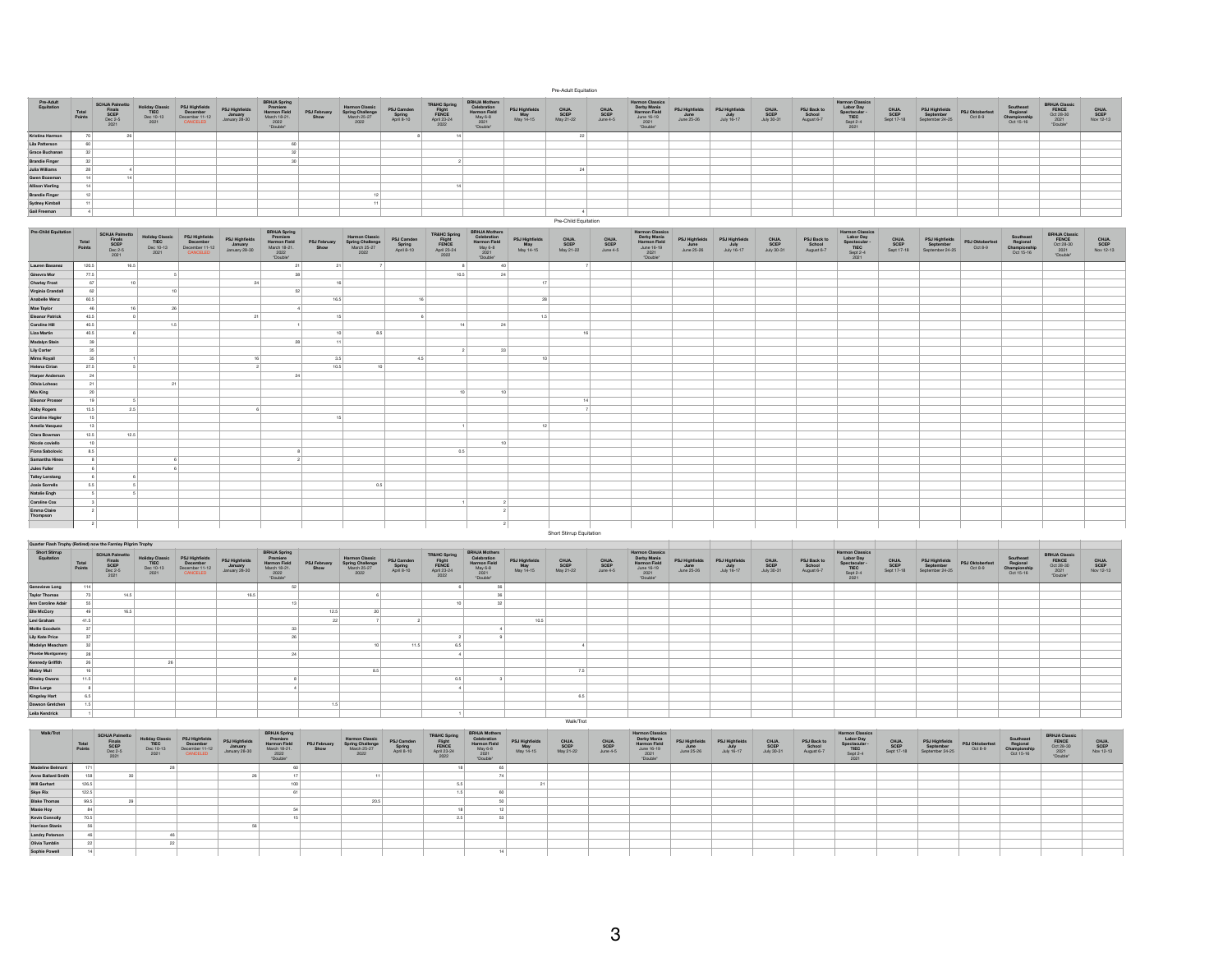| Pre-Adult<br>Equitation | Total<br>Points | <b>SCHJA Palmetto</b><br>Finals<br>SCEP<br>Dec 2-5<br>2021 | <b>Holiday Classic</b><br>TIEC<br>Dec 10-13<br>2021 | PSJ Highfield<br>December<br>December 11-12<br>CANCELE | PSJ Highfields<br>January<br>January 28-30 | <b>BRHJA Spring</b><br>Premiere<br><b>Harmon Field</b><br>March 18-21.<br>2022<br>"Double" | PSJ February<br>Show | <b>Harmon Classic</b><br><b>Spring Challenge</b><br>March 25-27<br>2022 | PSJ Camden<br>Spring<br>April 8-10 | <b>TR&amp;HC Spring</b><br>Flight<br>FENCE<br>April 23-24<br>2022 | <b>BRHJA Mothers</b><br>Celebratio.<br><b>Harmon Field</b><br>May 6-8<br>2021<br>"Double" | PSJ Highfields<br>May<br>May 14-15 | CHJA.<br>SCEP<br>May 21-22 | CHJA.<br>SCEP<br>June 4-5 | <b>Harmon Classics</b><br>Derby Mania<br>Harmon Field<br>June 16-19<br>$2021$<br>"Double" | <b>PSJ Highfields</b><br>June<br>June 25-26 | PSJ Highfield:<br>July<br>July 16-17 | CHJA<br>SCEP<br>July 30-31 | PSJ Back to<br>School<br>August 6-7 | <b>Harmon Classics</b><br><b>Labor Day</b><br>$\begin{array}{c} \textbf{Specta} \textbf{c} \textbf{u} \textbf{a} \textbf{r} \\ \textbf{TIEC} \\ \textbf{Sapt 2-4} \\ \textbf{2021} \end{array}$ | CHJA<br>SCEP<br>Sept 17-18 | PSJ Highfields<br>September<br>September 24-25 | <b>PSJ Oktoberfes</b><br>Oct 8-9 | Southeas<br>Regional<br>Championship<br>Oct 15-16 | BRHJA Classic<br>FENCE<br>Oct 28-30<br>$2021$<br>"Double" | CHJA.<br>SCEP<br>Nov 12-13 |
|-------------------------|-----------------|------------------------------------------------------------|-----------------------------------------------------|--------------------------------------------------------|--------------------------------------------|--------------------------------------------------------------------------------------------|----------------------|-------------------------------------------------------------------------|------------------------------------|-------------------------------------------------------------------|-------------------------------------------------------------------------------------------|------------------------------------|----------------------------|---------------------------|-------------------------------------------------------------------------------------------|---------------------------------------------|--------------------------------------|----------------------------|-------------------------------------|-------------------------------------------------------------------------------------------------------------------------------------------------------------------------------------------------|----------------------------|------------------------------------------------|----------------------------------|---------------------------------------------------|-----------------------------------------------------------|----------------------------|
| Kristina Harmon         |                 |                                                            |                                                     |                                                        |                                            |                                                                                            |                      |                                                                         |                                    |                                                                   |                                                                                           |                                    |                            |                           |                                                                                           |                                             |                                      |                            |                                     |                                                                                                                                                                                                 |                            |                                                |                                  |                                                   |                                                           |                            |
| <b>Lila Patterson</b>   |                 |                                                            |                                                     |                                                        |                                            |                                                                                            |                      |                                                                         |                                    |                                                                   |                                                                                           |                                    |                            |                           |                                                                                           |                                             |                                      |                            |                                     |                                                                                                                                                                                                 |                            |                                                |                                  |                                                   |                                                           |                            |
| Grace Buchanan          |                 |                                                            |                                                     |                                                        |                                            |                                                                                            |                      |                                                                         |                                    |                                                                   |                                                                                           |                                    |                            |                           |                                                                                           |                                             |                                      |                            |                                     |                                                                                                                                                                                                 |                            |                                                |                                  |                                                   |                                                           |                            |
| <b>Brandie Finger</b>   |                 |                                                            |                                                     |                                                        |                                            |                                                                                            |                      |                                                                         |                                    |                                                                   |                                                                                           |                                    |                            |                           |                                                                                           |                                             |                                      |                            |                                     |                                                                                                                                                                                                 |                            |                                                |                                  |                                                   |                                                           |                            |
| <b>Julia Williams</b>   |                 |                                                            |                                                     |                                                        |                                            |                                                                                            |                      |                                                                         |                                    |                                                                   |                                                                                           |                                    |                            |                           |                                                                                           |                                             |                                      |                            |                                     |                                                                                                                                                                                                 |                            |                                                |                                  |                                                   |                                                           |                            |
| <b>Gwen Bozeman</b>     |                 |                                                            |                                                     |                                                        |                                            |                                                                                            |                      |                                                                         |                                    |                                                                   |                                                                                           |                                    |                            |                           |                                                                                           |                                             |                                      |                            |                                     |                                                                                                                                                                                                 |                            |                                                |                                  |                                                   |                                                           |                            |
| <b>Allison Vierling</b> |                 |                                                            |                                                     |                                                        |                                            |                                                                                            |                      |                                                                         |                                    |                                                                   |                                                                                           |                                    |                            |                           |                                                                                           |                                             |                                      |                            |                                     |                                                                                                                                                                                                 |                            |                                                |                                  |                                                   |                                                           |                            |
| <b>Brandie Finger</b>   |                 |                                                            |                                                     |                                                        |                                            |                                                                                            |                      |                                                                         |                                    |                                                                   |                                                                                           |                                    |                            |                           |                                                                                           |                                             |                                      |                            |                                     |                                                                                                                                                                                                 |                            |                                                |                                  |                                                   |                                                           |                            |
| <b>Sydney Kimball</b>   |                 |                                                            |                                                     |                                                        |                                            |                                                                                            |                      |                                                                         |                                    |                                                                   |                                                                                           |                                    |                            |                           |                                                                                           |                                             |                                      |                            |                                     |                                                                                                                                                                                                 |                            |                                                |                                  |                                                   |                                                           |                            |
| <b>Gail Freeman</b>     |                 |                                                            |                                                     |                                                        |                                            |                                                                                            |                      |                                                                         |                                    |                                                                   |                                                                                           |                                    |                            |                           |                                                                                           |                                             |                                      |                            |                                     |                                                                                                                                                                                                 |                            |                                                |                                  |                                                   |                                                           |                            |
|                         |                 |                                                            |                                                     |                                                        |                                            |                                                                                            |                      |                                                                         |                                    |                                                                   |                                                                                           |                                    | Pre-Child Foultation       |                           |                                                                                           |                                             |                                      |                            |                                     |                                                                                                                                                                                                 |                            |                                                |                                  |                                                   |                                                           |                            |

Pre-Adult Equitation

| Pre-Child Equitation    | Point          | $\begin{array}{c} \text{SCHJA Panmetto}\\ \text{Finals}\\ \text{SCEP}\\ \text{Dec 2-5}\\ \text{2021} \end{array}$ | Holiday Classic<br>TIEC<br>Dec 10-13<br>2021 | PSJ Highfields<br>December<br>December 11-12<br>CANCELED | PSJ Highfields<br>January<br>January 28-30 | <b>BRHJA Spring</b><br>Premiere<br>Harmon Field<br>March 18-21.<br>2022<br>"Double" | PSJ February<br>Show | <b>Harmon Classic</b><br>Spring Challenge<br>March 25-27<br>2022 | PSJ Camden<br>Spring<br>April 8-10 | TR&HC Spring<br>Flight<br>FENCE<br>April 23-24<br>2022 | BRHJA Mothers<br>Celebration<br>Harmon Field<br>May 6-8<br>2021<br>"Double" | PSJ Highfields<br>May<br>May 14-15 | CHJA.<br>SCEP<br>May 21-22 | CHJA.<br>SCEP<br>June 4-5 | Harmon Classics<br>Derby Mania<br>Harmon Field<br>June 16-19<br>2021<br>"Double" | PSJ Highfields<br>June<br>June 25-26 | PSJ Highfields<br>July<br>July 16-17 | CHJA.<br>SCEP<br>July 30-31 | PSJ Back to<br>School<br>August 6-7 | <b>Harmon Classics</b><br>Labor Day<br>Spectacular<br>TIEC<br>Sept 2-4<br>2021 | CHJA.<br>SCEP<br>Sept 17-18 | PSJ Highfields<br>September<br>September 24-25 | <b>PSJ Oktoberfes</b><br>$Oct 8-9$ | Southeast<br>Regional<br>Championship<br>Oct 15-16 | BRHJA Classic<br>FENCE<br>Oct 28-30<br>2021<br>Touble* | CHJA.<br>SCEP<br>Nov 12-13 |
|-------------------------|----------------|-------------------------------------------------------------------------------------------------------------------|----------------------------------------------|----------------------------------------------------------|--------------------------------------------|-------------------------------------------------------------------------------------|----------------------|------------------------------------------------------------------|------------------------------------|--------------------------------------------------------|-----------------------------------------------------------------------------|------------------------------------|----------------------------|---------------------------|----------------------------------------------------------------------------------|--------------------------------------|--------------------------------------|-----------------------------|-------------------------------------|--------------------------------------------------------------------------------|-----------------------------|------------------------------------------------|------------------------------------|----------------------------------------------------|--------------------------------------------------------|----------------------------|
| Lauren Basanez          | 120.5          | 16.5                                                                                                              |                                              |                                                          |                                            | 21                                                                                  | 21                   |                                                                  |                                    |                                                        | 40                                                                          |                                    |                            |                           |                                                                                  |                                      |                                      |                             |                                     |                                                                                |                             |                                                |                                    |                                                    |                                                        |                            |
| Ginevra Mor             | 77.5           |                                                                                                                   |                                              |                                                          |                                            | 38                                                                                  |                      |                                                                  |                                    | 10.5                                                   | 24                                                                          |                                    |                            |                           |                                                                                  |                                      |                                      |                             |                                     |                                                                                |                             |                                                |                                    |                                                    |                                                        |                            |
| <b>Charley Frost</b>    | 67             | 10                                                                                                                |                                              |                                                          | 24                                         |                                                                                     | 16                   |                                                                  |                                    |                                                        |                                                                             | 17                                 |                            |                           |                                                                                  |                                      |                                      |                             |                                     |                                                                                |                             |                                                |                                    |                                                    |                                                        |                            |
| Virginia Crandall       | 62             |                                                                                                                   | 10                                           |                                                          |                                            | 52                                                                                  |                      |                                                                  |                                    |                                                        |                                                                             |                                    |                            |                           |                                                                                  |                                      |                                      |                             |                                     |                                                                                |                             |                                                |                                    |                                                    |                                                        |                            |
| Anabelle Wenz           | 60.5           |                                                                                                                   |                                              |                                                          |                                            |                                                                                     | 16.5                 |                                                                  | 16                                 |                                                        |                                                                             | 28                                 |                            |                           |                                                                                  |                                      |                                      |                             |                                     |                                                                                |                             |                                                |                                    |                                                    |                                                        |                            |
| <b>Mae Taylor</b>       | 46             | 16                                                                                                                | 26                                           |                                                          |                                            |                                                                                     |                      |                                                                  |                                    |                                                        |                                                                             |                                    |                            |                           |                                                                                  |                                      |                                      |                             |                                     |                                                                                |                             |                                                |                                    |                                                    |                                                        |                            |
| <b>Eleanor Patrick</b>  | 43.5           |                                                                                                                   |                                              |                                                          | 21                                         |                                                                                     | 15                   |                                                                  |                                    |                                                        |                                                                             | 1.5                                |                            |                           |                                                                                  |                                      |                                      |                             |                                     |                                                                                |                             |                                                |                                    |                                                    |                                                        |                            |
| <b>Caroline Hill</b>    | 40.5           |                                                                                                                   | 1.5                                          |                                                          |                                            |                                                                                     |                      |                                                                  |                                    | 14                                                     | 24                                                                          |                                    |                            |                           |                                                                                  |                                      |                                      |                             |                                     |                                                                                |                             |                                                |                                    |                                                    |                                                        |                            |
| <b>Liza Martin</b>      | 40.5           |                                                                                                                   |                                              |                                                          |                                            |                                                                                     | $\sim$               | 8.5                                                              |                                    |                                                        |                                                                             |                                    | 16                         |                           |                                                                                  |                                      |                                      |                             |                                     |                                                                                |                             |                                                |                                    |                                                    |                                                        |                            |
| <b>Madalyn Stein</b>    | 39             |                                                                                                                   |                                              |                                                          |                                            | 28                                                                                  |                      |                                                                  |                                    |                                                        |                                                                             |                                    |                            |                           |                                                                                  |                                      |                                      |                             |                                     |                                                                                |                             |                                                |                                    |                                                    |                                                        |                            |
| <b>Lily Carter</b>      | 35             |                                                                                                                   |                                              |                                                          |                                            |                                                                                     |                      |                                                                  |                                    |                                                        | 33                                                                          |                                    |                            |                           |                                                                                  |                                      |                                      |                             |                                     |                                                                                |                             |                                                |                                    |                                                    |                                                        |                            |
| <b>Mims Royall</b>      | 35             |                                                                                                                   |                                              |                                                          |                                            |                                                                                     | 3.5                  |                                                                  | 4.5                                |                                                        |                                                                             | ۹n                                 |                            |                           |                                                                                  |                                      |                                      |                             |                                     |                                                                                |                             |                                                |                                    |                                                    |                                                        |                            |
| Helena Cirian           | 27.5           |                                                                                                                   |                                              |                                                          |                                            |                                                                                     | 10.5                 | 10                                                               |                                    |                                                        |                                                                             |                                    |                            |                           |                                                                                  |                                      |                                      |                             |                                     |                                                                                |                             |                                                |                                    |                                                    |                                                        |                            |
| <b>Harper Anderson</b>  | 24             |                                                                                                                   |                                              |                                                          |                                            | 24                                                                                  |                      |                                                                  |                                    |                                                        |                                                                             |                                    |                            |                           |                                                                                  |                                      |                                      |                             |                                     |                                                                                |                             |                                                |                                    |                                                    |                                                        |                            |
| Olivia Loheac           | 21             |                                                                                                                   | 21                                           |                                                          |                                            |                                                                                     |                      |                                                                  |                                    |                                                        |                                                                             |                                    |                            |                           |                                                                                  |                                      |                                      |                             |                                     |                                                                                |                             |                                                |                                    |                                                    |                                                        |                            |
| Mia King                | 20             |                                                                                                                   |                                              |                                                          |                                            |                                                                                     |                      |                                                                  |                                    |                                                        | 10                                                                          |                                    |                            |                           |                                                                                  |                                      |                                      |                             |                                     |                                                                                |                             |                                                |                                    |                                                    |                                                        |                            |
| <b>Eleanor Prosser</b>  | 19             |                                                                                                                   |                                              |                                                          |                                            |                                                                                     |                      |                                                                  |                                    |                                                        |                                                                             |                                    | 14                         |                           |                                                                                  |                                      |                                      |                             |                                     |                                                                                |                             |                                                |                                    |                                                    |                                                        |                            |
| <b>Abby Rogers</b>      | 15.5           | 2.5                                                                                                               |                                              |                                                          |                                            |                                                                                     |                      |                                                                  |                                    |                                                        |                                                                             |                                    |                            |                           |                                                                                  |                                      |                                      |                             |                                     |                                                                                |                             |                                                |                                    |                                                    |                                                        |                            |
| <b>Caroline Hagler</b>  | 15             |                                                                                                                   |                                              |                                                          |                                            |                                                                                     | $\overline{a}$       |                                                                  |                                    |                                                        |                                                                             |                                    |                            |                           |                                                                                  |                                      |                                      |                             |                                     |                                                                                |                             |                                                |                                    |                                                    |                                                        |                            |
| Amelia Vasquez          | 13             |                                                                                                                   |                                              |                                                          |                                            |                                                                                     |                      |                                                                  |                                    |                                                        |                                                                             | 12                                 |                            |                           |                                                                                  |                                      |                                      |                             |                                     |                                                                                |                             |                                                |                                    |                                                    |                                                        |                            |
| Clara Bowman            | 12.5           | 12.5                                                                                                              |                                              |                                                          |                                            |                                                                                     |                      |                                                                  |                                    |                                                        |                                                                             |                                    |                            |                           |                                                                                  |                                      |                                      |                             |                                     |                                                                                |                             |                                                |                                    |                                                    |                                                        |                            |
| Nicole coviello         | 10             |                                                                                                                   |                                              |                                                          |                                            |                                                                                     |                      |                                                                  |                                    |                                                        | 10                                                                          |                                    |                            |                           |                                                                                  |                                      |                                      |                             |                                     |                                                                                |                             |                                                |                                    |                                                    |                                                        |                            |
| Fiona Sabolovic         | 8.5            |                                                                                                                   |                                              |                                                          |                                            |                                                                                     |                      |                                                                  |                                    | 0.5                                                    |                                                                             |                                    |                            |                           |                                                                                  |                                      |                                      |                             |                                     |                                                                                |                             |                                                |                                    |                                                    |                                                        |                            |
| Samantha Hines          |                |                                                                                                                   |                                              |                                                          |                                            |                                                                                     |                      |                                                                  |                                    |                                                        |                                                                             |                                    |                            |                           |                                                                                  |                                      |                                      |                             |                                     |                                                                                |                             |                                                |                                    |                                                    |                                                        |                            |
| Jules Fuller            |                |                                                                                                                   |                                              |                                                          |                                            |                                                                                     |                      |                                                                  |                                    |                                                        |                                                                             |                                    |                            |                           |                                                                                  |                                      |                                      |                             |                                     |                                                                                |                             |                                                |                                    |                                                    |                                                        |                            |
| <b>Talley Lerstang</b>  |                |                                                                                                                   |                                              |                                                          |                                            |                                                                                     |                      |                                                                  |                                    |                                                        |                                                                             |                                    |                            |                           |                                                                                  |                                      |                                      |                             |                                     |                                                                                |                             |                                                |                                    |                                                    |                                                        |                            |
| Josie Sorrells          | 5.5            |                                                                                                                   |                                              |                                                          |                                            |                                                                                     |                      | 0.5                                                              |                                    |                                                        |                                                                             |                                    |                            |                           |                                                                                  |                                      |                                      |                             |                                     |                                                                                |                             |                                                |                                    |                                                    |                                                        |                            |
| Natalie Engh            | -6             |                                                                                                                   |                                              |                                                          |                                            |                                                                                     |                      |                                                                  |                                    |                                                        |                                                                             |                                    |                            |                           |                                                                                  |                                      |                                      |                             |                                     |                                                                                |                             |                                                |                                    |                                                    |                                                        |                            |
| <b>Caroline Cox</b>     | $\mathbf{a}$   |                                                                                                                   |                                              |                                                          |                                            |                                                                                     |                      |                                                                  |                                    |                                                        |                                                                             |                                    |                            |                           |                                                                                  |                                      |                                      |                             |                                     |                                                                                |                             |                                                |                                    |                                                    |                                                        |                            |
| Emma Claire<br>Thompson |                |                                                                                                                   |                                              |                                                          |                                            |                                                                                     |                      |                                                                  |                                    |                                                        |                                                                             |                                    |                            |                           |                                                                                  |                                      |                                      |                             |                                     |                                                                                |                             |                                                |                                    |                                                    |                                                        |                            |
|                         | $\overline{2}$ |                                                                                                                   |                                              |                                                          |                                            |                                                                                     |                      |                                                                  |                                    |                                                        | $\overline{2}$                                                              |                                    |                            |                           |                                                                                  |                                      |                                      |                             |                                     |                                                                                |                             |                                                |                                    |                                                    |                                                        |                            |

| Quarter Flash Trophy (Retired) now the Famley Pilgrim Trophy |                 |                                                            |                                              |                                                                 |                                            |                                                                                            |                      |                                                                  |                                    |                                                        |                                                                                    |                                      |                            |                           |                                                                                         |                                     |                                      |                             |                                     |                                                                                                                                                          |                             |                                                |                            |                                                    |                                                         |                                  |
|--------------------------------------------------------------|-----------------|------------------------------------------------------------|----------------------------------------------|-----------------------------------------------------------------|--------------------------------------------|--------------------------------------------------------------------------------------------|----------------------|------------------------------------------------------------------|------------------------------------|--------------------------------------------------------|------------------------------------------------------------------------------------|--------------------------------------|----------------------------|---------------------------|-----------------------------------------------------------------------------------------|-------------------------------------|--------------------------------------|-----------------------------|-------------------------------------|----------------------------------------------------------------------------------------------------------------------------------------------------------|-----------------------------|------------------------------------------------|----------------------------|----------------------------------------------------|---------------------------------------------------------|----------------------------------|
| <b>Short Stirrup</b><br>Equitation                           | Total<br>Points | <b>SCHJA Palmetto</b><br>Finals<br>SCEP<br>Dec 2-5<br>2021 | Holiday Classic<br>TIEC<br>Dec 10-13<br>2021 | <b>PSJ Highfields</b><br>December<br>December 11-12<br>CANCELED | PSJ Highfields<br>January<br>January 28-30 | <b>BRHJA Spring</b><br>Premiere<br><b>Harmon Field</b><br>March 18-21.<br>2022<br>"Double" | PSJ February<br>Show | <b>Harmon Classic</b><br>Spring Challenge<br>March 25-27<br>2022 | PSJ Camden<br>Spring<br>April 8-10 | TR&HC Spring<br>Flight<br>FENCE<br>April 23-24<br>2022 | <b>BRHJA Mothers</b><br>Celebration<br>Harmon Field<br>May 6-8<br>2021<br>"Double" | PSJ Highfields<br>May<br>$May$ 14-15 | CHJA.<br>SCEP<br>May 21-22 | CHJA.<br>SCEP<br>June 4-5 | <b>Harmon Classics</b><br>Derby Mania<br>Harmon Field<br>June 16-19<br>2021<br>"Double" | PSJ Highfield<br>June<br>June 25-26 | PSJ Highfields<br>July<br>July 16-17 | CHJA.<br>SCEP<br>July 30-31 | PSJ Back to<br>School<br>August 6-7 | <b>Harmon Classics</b><br><b>Labor Day</b><br>$\begin{array}{c} \textbf{Spectacular} \\ \textbf{TIEC} \\ \textbf{Sept 2-4} \\ \textbf{2021} \end{array}$ | CHJA.<br>SCEP<br>Sept 17-18 | PSJ Highfields<br>September<br>September 24-25 | PSJ Oktoberfest<br>Oct 8-9 | Southeast<br>Regional<br>Championship<br>Oct 15-16 | BRHJA Classic<br>FENCE<br>Oct 28-30<br>2021<br>"Double" | <b>CHJA</b><br>SCEP<br>Nov 12-13 |
| <b>Genevieve Long</b>                                        | 114             |                                                            |                                              |                                                                 |                                            |                                                                                            |                      |                                                                  |                                    |                                                        |                                                                                    |                                      |                            |                           |                                                                                         |                                     |                                      |                             |                                     |                                                                                                                                                          |                             |                                                |                            |                                                    |                                                         |                                  |
| <b>Taylor Thomas</b>                                         | 73              | 14.5                                                       |                                              |                                                                 | 16.5                                       |                                                                                            |                      |                                                                  |                                    |                                                        |                                                                                    |                                      |                            |                           |                                                                                         |                                     |                                      |                             |                                     |                                                                                                                                                          |                             |                                                |                            |                                                    |                                                         |                                  |
| Ann Caroline Adair                                           | 55              |                                                            |                                              |                                                                 |                                            |                                                                                            |                      |                                                                  |                                    |                                                        |                                                                                    |                                      |                            |                           |                                                                                         |                                     |                                      |                             |                                     |                                                                                                                                                          |                             |                                                |                            |                                                    |                                                         |                                  |
| Elle McCory                                                  | 49              | 16.5                                                       |                                              |                                                                 |                                            |                                                                                            | 12.5                 |                                                                  |                                    |                                                        |                                                                                    |                                      |                            |                           |                                                                                         |                                     |                                      |                             |                                     |                                                                                                                                                          |                             |                                                |                            |                                                    |                                                         |                                  |
| Levi Graham                                                  | 41.5            |                                                            |                                              |                                                                 |                                            |                                                                                            |                      |                                                                  |                                    |                                                        |                                                                                    | 10.5                                 |                            |                           |                                                                                         |                                     |                                      |                             |                                     |                                                                                                                                                          |                             |                                                |                            |                                                    |                                                         |                                  |
| <b>Mollie Goodwin</b>                                        | -               |                                                            |                                              |                                                                 |                                            |                                                                                            |                      |                                                                  |                                    |                                                        |                                                                                    |                                      |                            |                           |                                                                                         |                                     |                                      |                             |                                     |                                                                                                                                                          |                             |                                                |                            |                                                    |                                                         |                                  |
| <b>Lily Kate Price</b>                                       | 37              |                                                            |                                              |                                                                 |                                            |                                                                                            |                      |                                                                  |                                    |                                                        |                                                                                    |                                      |                            |                           |                                                                                         |                                     |                                      |                             |                                     |                                                                                                                                                          |                             |                                                |                            |                                                    |                                                         |                                  |
| Madelyn Meacham                                              |                 |                                                            |                                              |                                                                 |                                            |                                                                                            |                      |                                                                  | 11.5                               |                                                        |                                                                                    |                                      |                            |                           |                                                                                         |                                     |                                      |                             |                                     |                                                                                                                                                          |                             |                                                |                            |                                                    |                                                         |                                  |
| <b>Phoebe Montgomery</b>                                     |                 |                                                            |                                              |                                                                 |                                            |                                                                                            |                      |                                                                  |                                    |                                                        |                                                                                    |                                      |                            |                           |                                                                                         |                                     |                                      |                             |                                     |                                                                                                                                                          |                             |                                                |                            |                                                    |                                                         |                                  |
| <b>Kennedy Griffith</b>                                      | 26              |                                                            |                                              |                                                                 |                                            |                                                                                            |                      |                                                                  |                                    |                                                        |                                                                                    |                                      |                            |                           |                                                                                         |                                     |                                      |                             |                                     |                                                                                                                                                          |                             |                                                |                            |                                                    |                                                         |                                  |
| <b>Mabry Mull</b>                                            | 16              |                                                            |                                              |                                                                 |                                            |                                                                                            |                      |                                                                  |                                    |                                                        |                                                                                    |                                      |                            |                           |                                                                                         |                                     |                                      |                             |                                     |                                                                                                                                                          |                             |                                                |                            |                                                    |                                                         |                                  |
| <b>Kinsley Owens</b>                                         | 11.5            |                                                            |                                              |                                                                 |                                            |                                                                                            |                      |                                                                  |                                    |                                                        |                                                                                    |                                      |                            |                           |                                                                                         |                                     |                                      |                             |                                     |                                                                                                                                                          |                             |                                                |                            |                                                    |                                                         |                                  |
| <b>Ellee Large</b>                                           |                 |                                                            |                                              |                                                                 |                                            |                                                                                            |                      |                                                                  |                                    |                                                        |                                                                                    |                                      |                            |                           |                                                                                         |                                     |                                      |                             |                                     |                                                                                                                                                          |                             |                                                |                            |                                                    |                                                         |                                  |
| <b>Kingsley Hart</b>                                         | 6.5             |                                                            |                                              |                                                                 |                                            |                                                                                            |                      |                                                                  |                                    |                                                        |                                                                                    |                                      |                            |                           |                                                                                         |                                     |                                      |                             |                                     |                                                                                                                                                          |                             |                                                |                            |                                                    |                                                         |                                  |
| <b>Dawson Gretchen</b>                                       |                 |                                                            |                                              |                                                                 |                                            |                                                                                            |                      |                                                                  |                                    |                                                        |                                                                                    |                                      |                            |                           |                                                                                         |                                     |                                      |                             |                                     |                                                                                                                                                          |                             |                                                |                            |                                                    |                                                         |                                  |
| Leila Kendrick                                               |                 |                                                            |                                              |                                                                 |                                            |                                                                                            |                      |                                                                  |                                    |                                                        |                                                                                    |                                      |                            |                           |                                                                                         |                                     |                                      |                             |                                     |                                                                                                                                                          |                             |                                                |                            |                                                    |                                                         |                                  |
|                                                              |                 |                                                            |                                              |                                                                 |                                            |                                                                                            |                      |                                                                  |                                    |                                                        |                                                                                    |                                      | Walk/Trot                  |                           |                                                                                         |                                     |                                      |                             |                                     |                                                                                                                                                          |                             |                                                |                            |                                                    |                                                         |                                  |

| Walk/Trot               | Total<br>Points | <b>SCHJA Palmetto</b><br>Finals<br>SCEP<br>Dec 2-5<br>2021 | <b>Holiday Classk</b><br><b>TIEC</b><br>Dec 10-13<br>2021 | <b>PSJ Highfields</b><br>Decembe<br>December 11-12<br><b>CANCELED</b> | PSJ Highfield:<br>January<br>January 28-30 | <b>BRHJA Spring</b><br>Premiere<br><b>Harmon Field</b><br>March 18-21<br>2022<br>"Double" | <b>PSJ February</b><br>Show | <b>Harmon Classic</b><br>Spring Challeng<br>March 25-27<br>2022 | PSJ Camden<br>Spring<br>April 8-10 | <b>TR&amp;HC Spring</b><br>Flight<br>FENCE<br>April 23-24<br>2022 | <b>BRHJA Mothers</b><br>Celebratio<br><b>Harmon Field</b><br>May 6-8<br>2021<br>"Double" | PSJ Highfield:<br>May<br>May 14-15 | CHJA.<br>SCEP<br>May 21-22 | CHJA.<br>SCEP<br>June 4-5 | <b>Harmon Classics</b><br>Derby Mania<br>Harmon Field<br>June 16-19<br>2021<br>"Double" | PSJ Highfields<br>June<br>June 25-26 | PSJ Highfields<br>July<br>July 16-17 | CHJA.<br>SCEP<br>July 30-31 | PSJ Back to<br>School<br>August 6-7 | <b>Harmon Classics</b><br>$\begin{array}{c} \text{Labor Day} \\ \text{Spectacular} \\ \text{TIEC} \\ \text{Sept 2-4} \\ \text{2021} \end{array}$ | CHJA<br>SCEP<br>Sept 17-18 | PSJ Highfields<br>September<br>September 24-25 | <b>PSJ Oktoberfest</b><br>Oct 8-9 | Southeas<br>Regional<br>Championship<br>Oct 15-16 | <b>BRHJA Classic</b><br>FENCE<br>Oct 28-30<br>2021<br>"Double" | CHJA.<br>SCEP<br>Nov 12-13 |
|-------------------------|-----------------|------------------------------------------------------------|-----------------------------------------------------------|-----------------------------------------------------------------------|--------------------------------------------|-------------------------------------------------------------------------------------------|-----------------------------|-----------------------------------------------------------------|------------------------------------|-------------------------------------------------------------------|------------------------------------------------------------------------------------------|------------------------------------|----------------------------|---------------------------|-----------------------------------------------------------------------------------------|--------------------------------------|--------------------------------------|-----------------------------|-------------------------------------|--------------------------------------------------------------------------------------------------------------------------------------------------|----------------------------|------------------------------------------------|-----------------------------------|---------------------------------------------------|----------------------------------------------------------------|----------------------------|
| <b>Madeline Belmont</b> |                 |                                                            |                                                           |                                                                       |                                            |                                                                                           |                             |                                                                 |                                    |                                                                   |                                                                                          |                                    |                            |                           |                                                                                         |                                      |                                      |                             |                                     |                                                                                                                                                  |                            |                                                |                                   |                                                   |                                                                |                            |
| Anne Ballard Smith      |                 |                                                            |                                                           |                                                                       |                                            |                                                                                           |                             |                                                                 |                                    |                                                                   |                                                                                          |                                    |                            |                           |                                                                                         |                                      |                                      |                             |                                     |                                                                                                                                                  |                            |                                                |                                   |                                                   |                                                                |                            |
| <b>Will Gerhart</b>     | 126.5           |                                                            |                                                           |                                                                       |                                            |                                                                                           |                             |                                                                 |                                    |                                                                   |                                                                                          |                                    |                            |                           |                                                                                         |                                      |                                      |                             |                                     |                                                                                                                                                  |                            |                                                |                                   |                                                   |                                                                |                            |
| <b>Skye Rix</b>         | 122.5           |                                                            |                                                           |                                                                       |                                            |                                                                                           |                             |                                                                 |                                    |                                                                   |                                                                                          |                                    |                            |                           |                                                                                         |                                      |                                      |                             |                                     |                                                                                                                                                  |                            |                                                |                                   |                                                   |                                                                |                            |
| <b>Blake Thomas</b>     |                 |                                                            |                                                           |                                                                       |                                            |                                                                                           |                             |                                                                 |                                    |                                                                   |                                                                                          |                                    |                            |                           |                                                                                         |                                      |                                      |                             |                                     |                                                                                                                                                  |                            |                                                |                                   |                                                   |                                                                |                            |
| <b>Masie Hoy</b>        |                 |                                                            |                                                           |                                                                       |                                            |                                                                                           |                             |                                                                 |                                    |                                                                   |                                                                                          |                                    |                            |                           |                                                                                         |                                      |                                      |                             |                                     |                                                                                                                                                  |                            |                                                |                                   |                                                   |                                                                |                            |
| <b>Kevin Connolly</b>   |                 |                                                            |                                                           |                                                                       |                                            |                                                                                           |                             |                                                                 |                                    |                                                                   |                                                                                          |                                    |                            |                           |                                                                                         |                                      |                                      |                             |                                     |                                                                                                                                                  |                            |                                                |                                   |                                                   |                                                                |                            |
| <b>Harrison Stanis</b>  |                 |                                                            |                                                           |                                                                       |                                            |                                                                                           |                             |                                                                 |                                    |                                                                   |                                                                                          |                                    |                            |                           |                                                                                         |                                      |                                      |                             |                                     |                                                                                                                                                  |                            |                                                |                                   |                                                   |                                                                |                            |
| <b>Landry Peterson</b>  |                 |                                                            |                                                           |                                                                       |                                            |                                                                                           |                             |                                                                 |                                    |                                                                   |                                                                                          |                                    |                            |                           |                                                                                         |                                      |                                      |                             |                                     |                                                                                                                                                  |                            |                                                |                                   |                                                   |                                                                |                            |
| Olivia Tumblin          |                 |                                                            |                                                           |                                                                       |                                            |                                                                                           |                             |                                                                 |                                    |                                                                   |                                                                                          |                                    |                            |                           |                                                                                         |                                      |                                      |                             |                                     |                                                                                                                                                  |                            |                                                |                                   |                                                   |                                                                |                            |
| Sophie Powell           |                 |                                                            |                                                           |                                                                       |                                            |                                                                                           |                             |                                                                 |                                    |                                                                   |                                                                                          |                                    |                            |                           |                                                                                         |                                      |                                      |                             |                                     |                                                                                                                                                  |                            |                                                |                                   |                                                   |                                                                |                            |

3